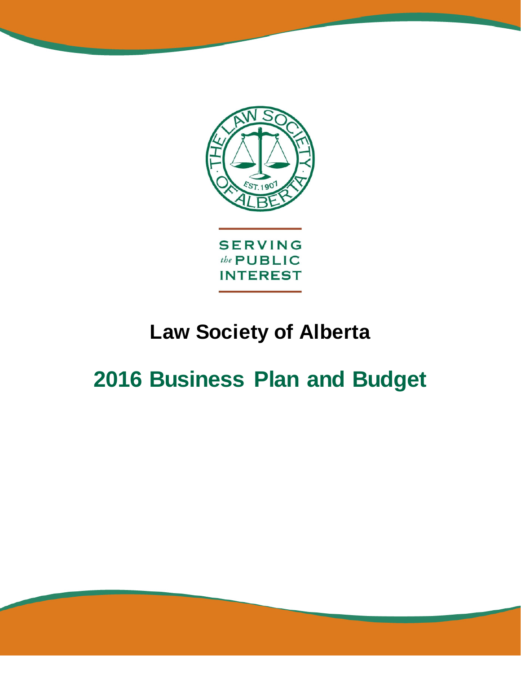

# **Law Society of Alberta**

# **2016 Business Plan and Budget**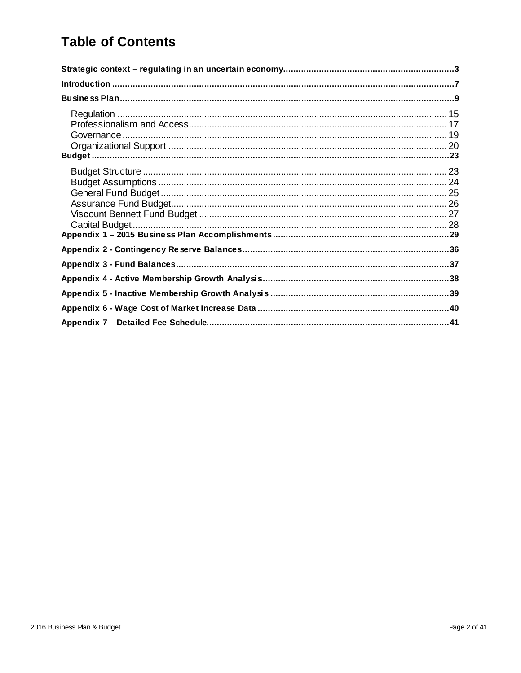### **Table of Contents**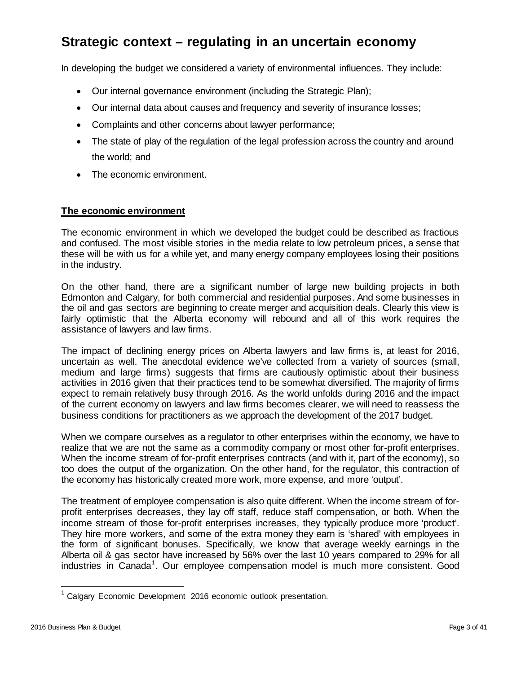### <span id="page-2-0"></span>**Strategic context – regulating in an uncertain economy**

In developing the budget we considered a variety of environmental influences. They include:

- Our internal governance environment (including the Strategic Plan);
- Our internal data about causes and frequency and severity of insurance losses;
- Complaints and other concerns about lawyer performance;
- The state of play of the regulation of the legal profession across the country and around the world; and
- The economic environment.

#### **The economic environment**

The economic environment in which we developed the budget could be described as fractious and confused. The most visible stories in the media relate to low petroleum prices, a sense that these will be with us for a while yet, and many energy company employees losing their positions in the industry.

On the other hand, there are a significant number of large new building projects in both Edmonton and Calgary, for both commercial and residential purposes. And some businesses in the oil and gas sectors are beginning to create merger and acquisition deals. Clearly this view is fairly optimistic that the Alberta economy will rebound and all of this work requires the assistance of lawyers and law firms.

The impact of declining energy prices on Alberta lawyers and law firms is, at least for 2016, uncertain as well. The anecdotal evidence we've collected from a variety of sources (small, medium and large firms) suggests that firms are cautiously optimistic about their business activities in 2016 given that their practices tend to be somewhat diversified. The majority of firms expect to remain relatively busy through 2016. As the world unfolds during 2016 and the impact of the current economy on lawyers and law firms becomes clearer, we will need to reassess the business conditions for practitioners as we approach the development of the 2017 budget.

When we compare ourselves as a regulator to other enterprises within the economy, we have to realize that we are not the same as a commodity company or most other for-profit enterprises. When the income stream of for-profit enterprises contracts (and with it, part of the economy), so too does the output of the organization. On the other hand, for the regulator, this contraction of the economy has historically created more work, more expense, and more 'output'.

The treatment of employee compensation is also quite different. When the income stream of forprofit enterprises decreases, they lay off staff, reduce staff compensation, or both. When the income stream of those for-profit enterprises increases, they typically produce more 'product'. They hire more workers, and some of the extra money they earn is 'shared' with employees in the form of significant bonuses. Specifically, we know that average weekly earnings in the Alberta oil & gas sector have increased by 56% over the last 10 years compared to 29% for all industries in Canada<sup>[1](#page-2-1)</sup>. Our employee compensation model is much more consistent. Good

<span id="page-2-1"></span>Calgary Economic Development 2016 economic outlook presentation.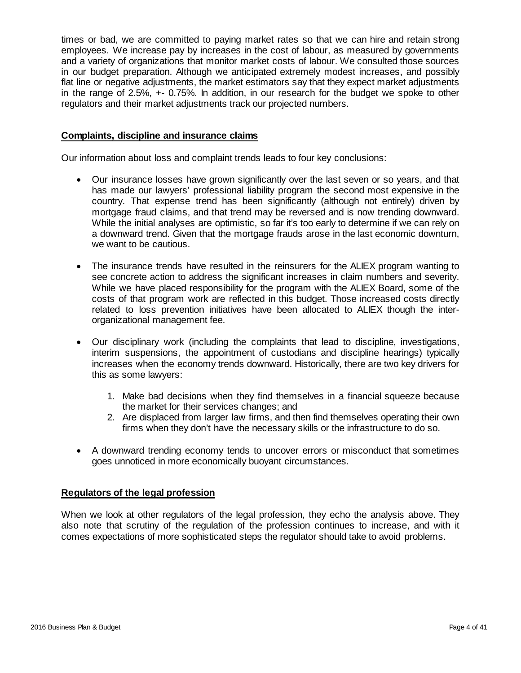times or bad, we are committed to paying market rates so that we can hire and retain strong employees. We increase pay by increases in the cost of labour, as measured by governments and a variety of organizations that monitor market costs of labour. We consulted those sources in our budget preparation. Although we anticipated extremely modest increases, and possibly flat line or negative adjustments, the market estimators say that they expect market adjustments in the range of 2.5%, +- 0.75%. In addition, in our research for the budget we spoke to other regulators and their market adjustments track our projected numbers.

#### **Complaints, discipline and insurance claims**

Our information about loss and complaint trends leads to four key conclusions:

- Our insurance losses have grown significantly over the last seven or so years, and that has made our lawyers' professional liability program the second most expensive in the country. That expense trend has been significantly (although not entirely) driven by mortgage fraud claims, and that trend may be reversed and is now trending downward. While the initial analyses are optimistic, so far it's too early to determine if we can rely on a downward trend. Given that the mortgage frauds arose in the last economic downturn, we want to be cautious.
- The insurance trends have resulted in the reinsurers for the ALIEX program wanting to see concrete action to address the significant increases in claim numbers and severity. While we have placed responsibility for the program with the ALIEX Board, some of the costs of that program work are reflected in this budget. Those increased costs directly related to loss prevention initiatives have been allocated to ALIEX though the interorganizational management fee.
- Our disciplinary work (including the complaints that lead to discipline, investigations, interim suspensions, the appointment of custodians and discipline hearings) typically increases when the economy trends downward. Historically, there are two key drivers for this as some lawyers:
	- 1. Make bad decisions when they find themselves in a financial squeeze because the market for their services changes; and
	- 2. Are displaced from larger law firms, and then find themselves operating their own firms when they don't have the necessary skills or the infrastructure to do so.
- A downward trending economy tends to uncover errors or misconduct that sometimes goes unnoticed in more economically buoyant circumstances.

#### **Regulators of the legal profession**

When we look at other regulators of the legal profession, they echo the analysis above. They also note that scrutiny of the regulation of the profession continues to increase, and with it comes expectations of more sophisticated steps the regulator should take to avoid problems.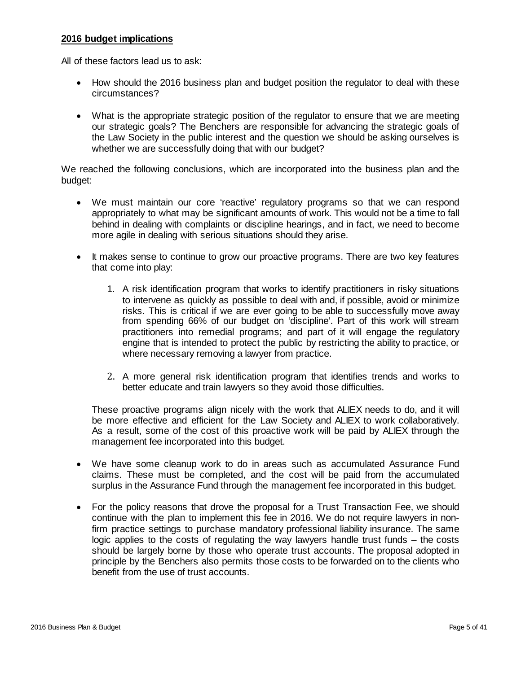#### **2016 budget implications**

All of these factors lead us to ask:

- How should the 2016 business plan and budget position the regulator to deal with these circumstances?
- What is the appropriate strategic position of the regulator to ensure that we are meeting our strategic goals? The Benchers are responsible for advancing the strategic goals of the Law Society in the public interest and the question we should be asking ourselves is whether we are successfully doing that with our budget?

We reached the following conclusions, which are incorporated into the business plan and the budget:

- We must maintain our core 'reactive' regulatory programs so that we can respond appropriately to what may be significant amounts of work. This would not be a time to fall behind in dealing with complaints or discipline hearings, and in fact, we need to become more agile in dealing with serious situations should they arise.
- It makes sense to continue to grow our proactive programs. There are two key features that come into play:
	- 1. A risk identification program that works to identify practitioners in risky situations to intervene as quickly as possible to deal with and, if possible, avoid or minimize risks. This is critical if we are ever going to be able to successfully move away from spending 66% of our budget on 'discipline'. Part of this work will stream practitioners into remedial programs; and part of it will engage the regulatory engine that is intended to protect the public by restricting the ability to practice, or where necessary removing a lawyer from practice.
	- 2. A more general risk identification program that identifies trends and works to better educate and train lawyers so they avoid those difficulties.

These proactive programs align nicely with the work that ALIEX needs to do, and it will be more effective and efficient for the Law Society and ALIEX to work collaboratively. As a result, some of the cost of this proactive work will be paid by ALIEX through the management fee incorporated into this budget.

- We have some cleanup work to do in areas such as accumulated Assurance Fund claims. These must be completed, and the cost will be paid from the accumulated surplus in the Assurance Fund through the management fee incorporated in this budget.
- For the policy reasons that drove the proposal for a Trust Transaction Fee, we should continue with the plan to implement this fee in 2016. We do not require lawyers in nonfirm practice settings to purchase mandatory professional liability insurance. The same logic applies to the costs of regulating the way lawyers handle trust funds – the costs should be largely borne by those who operate trust accounts. The proposal adopted in principle by the Benchers also permits those costs to be forwarded on to the clients who benefit from the use of trust accounts.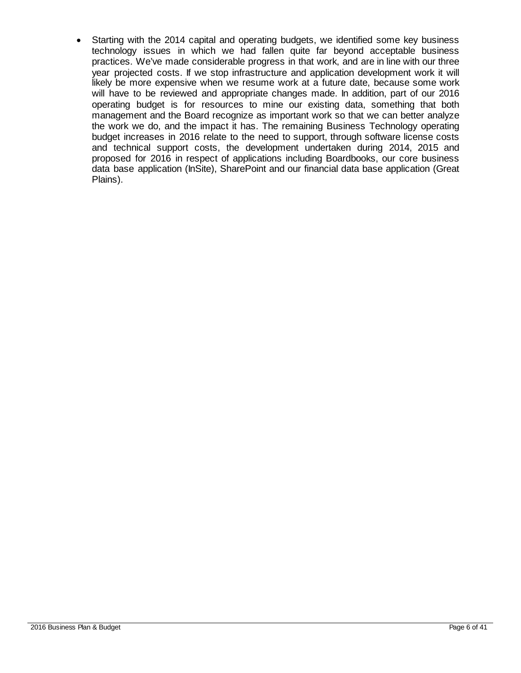• Starting with the 2014 capital and operating budgets, we identified some key business technology issues in which we had fallen quite far beyond acceptable business practices. We've made considerable progress in that work, and are in line with our three year projected costs. If we stop infrastructure and application development work it will likely be more expensive when we resume work at a future date, because some work will have to be reviewed and appropriate changes made. In addition, part of our 2016 operating budget is for resources to mine our existing data, something that both management and the Board recognize as important work so that we can better analyze the work we do, and the impact it has. The remaining Business Technology operating budget increases in 2016 relate to the need to support, through software license costs and technical support costs, the development undertaken during 2014, 2015 and proposed for 2016 in respect of applications including Boardbooks, our core business data base application (InSite), SharePoint and our financial data base application (Great Plains).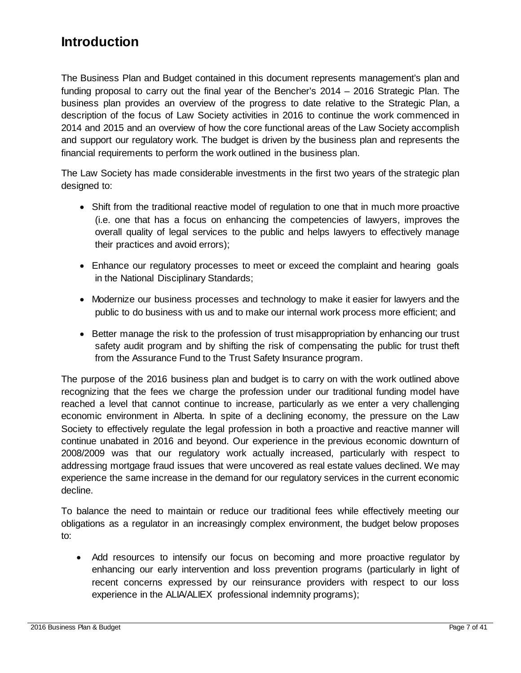### <span id="page-6-0"></span>**Introduction**

The Business Plan and Budget contained in this document represents management's plan and funding proposal to carry out the final year of the Bencher's 2014 – 2016 Strategic Plan. The business plan provides an overview of the progress to date relative to the Strategic Plan, a description of the focus of Law Society activities in 2016 to continue the work commenced in 2014 and 2015 and an overview of how the core functional areas of the Law Society accomplish and support our regulatory work. The budget is driven by the business plan and represents the financial requirements to perform the work outlined in the business plan.

The Law Society has made considerable investments in the first two years of the strategic plan designed to:

- Shift from the traditional reactive model of regulation to one that in much more proactive (i.e. one that has a focus on enhancing the competencies of lawyers, improves the overall quality of legal services to the public and helps lawyers to effectively manage their practices and avoid errors);
- Enhance our regulatory processes to meet or exceed the complaint and hearing goals in the National Disciplinary Standards;
- Modernize our business processes and technology to make it easier for lawyers and the public to do business with us and to make our internal work process more efficient; and
- Better manage the risk to the profession of trust misappropriation by enhancing our trust safety audit program and by shifting the risk of compensating the public for trust theft from the Assurance Fund to the Trust Safety Insurance program.

The purpose of the 2016 business plan and budget is to carry on with the work outlined above recognizing that the fees we charge the profession under our traditional funding model have reached a level that cannot continue to increase, particularly as we enter a very challenging economic environment in Alberta. In spite of a declining economy, the pressure on the Law Society to effectively regulate the legal profession in both a proactive and reactive manner will continue unabated in 2016 and beyond. Our experience in the previous economic downturn of 2008/2009 was that our regulatory work actually increased, particularly with respect to addressing mortgage fraud issues that were uncovered as real estate values declined. We may experience the same increase in the demand for our regulatory services in the current economic decline.

To balance the need to maintain or reduce our traditional fees while effectively meeting our obligations as a regulator in an increasingly complex environment, the budget below proposes to:

• Add resources to intensify our focus on becoming and more proactive regulator by enhancing our early intervention and loss prevention programs (particularly in light of recent concerns expressed by our reinsurance providers with respect to our loss experience in the ALIA/ALIEX professional indemnity programs);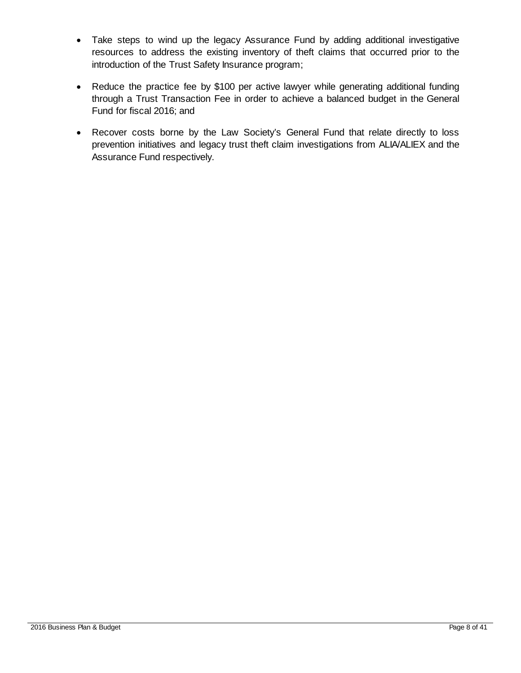- Take steps to wind up the legacy Assurance Fund by adding additional investigative resources to address the existing inventory of theft claims that occurred prior to the introduction of the Trust Safety Insurance program;
- Reduce the practice fee by \$100 per active lawyer while generating additional funding through a Trust Transaction Fee in order to achieve a balanced budget in the General Fund for fiscal 2016; and
- Recover costs borne by the Law Society's General Fund that relate directly to loss prevention initiatives and legacy trust theft claim investigations from ALIA/ALIEX and the Assurance Fund respectively.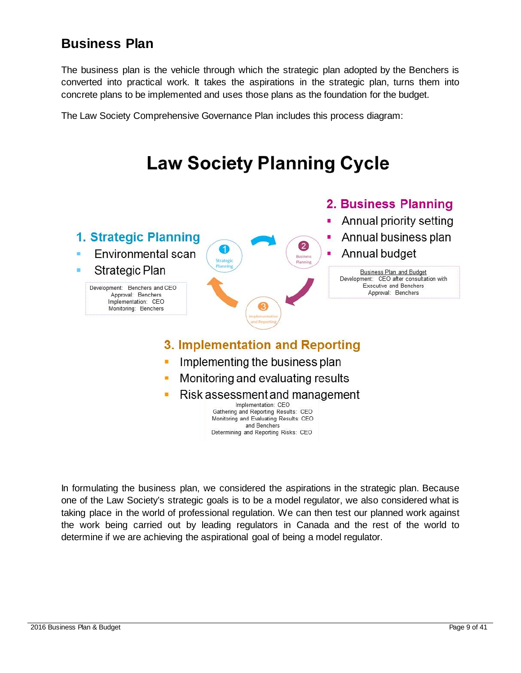### <span id="page-8-0"></span>**Business Plan**

The business plan is the vehicle through which the strategic plan adopted by the Benchers is converted into practical work. It takes the aspirations in the strategic plan, turns them into concrete plans to be implemented and uses those plans as the foundation for the budget.

The Law Society Comprehensive Governance Plan includes this process diagram:



In formulating the business plan, we considered the aspirations in the strategic plan. Because one of the Law Society's strategic goals is to be a model regulator, we also considered what is taking place in the world of professional regulation. We can then test our planned work against the work being carried out by leading regulators in Canada and the rest of the world to determine if we are achieving the aspirational goal of being a model regulator.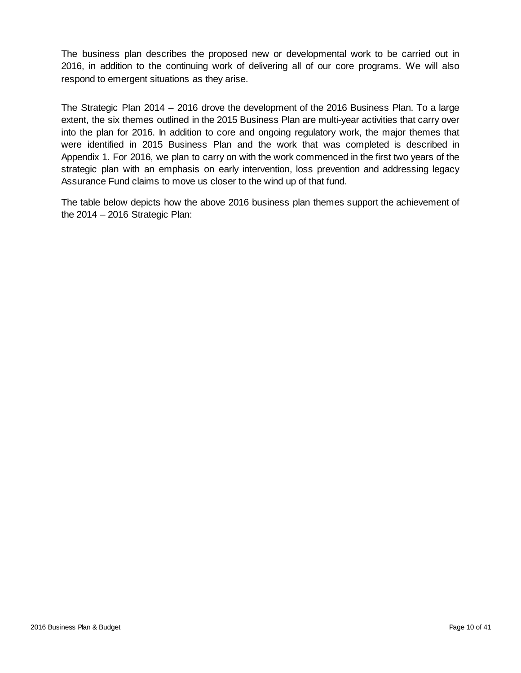The business plan describes the proposed new or developmental work to be carried out in 2016, in addition to the continuing work of delivering all of our core programs. We will also respond to emergent situations as they arise.

The Strategic Plan 2014 – 2016 drove the development of the 2016 Business Plan. To a large extent, the six themes outlined in the 2015 Business Plan are multi-year activities that carry over into the plan for 2016. In addition to core and ongoing regulatory work, the major themes that were identified in 2015 Business Plan and the work that was completed is described in Appendix 1. For 2016, we plan to carry on with the work commenced in the first two years of the strategic plan with an emphasis on early intervention, loss prevention and addressing legacy Assurance Fund claims to move us closer to the wind up of that fund.

The table below depicts how the above 2016 business plan themes support the achievement of the  $2014 - 2016$  Strategic Plan: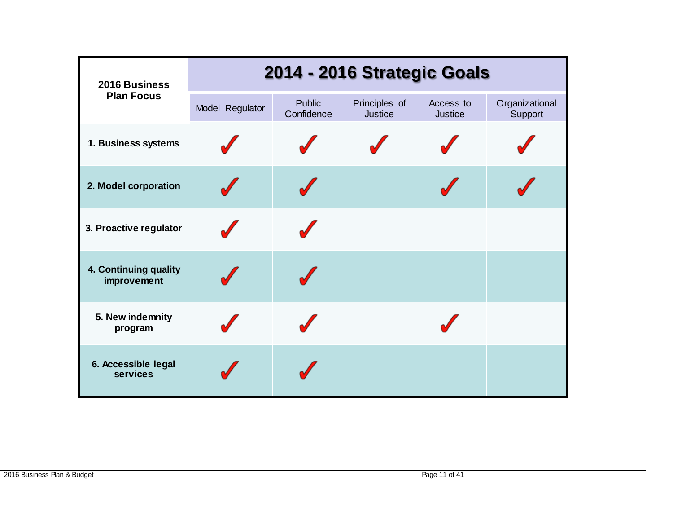| 2016 Business                          | 2014 - 2016 Strategic Goals |                             |                                 |                             |                           |
|----------------------------------------|-----------------------------|-----------------------------|---------------------------------|-----------------------------|---------------------------|
| <b>Plan Focus</b>                      | Model Regulator             | <b>Public</b><br>Confidence | Principles of<br><b>Justice</b> | Access to<br><b>Justice</b> | Organizational<br>Support |
| 1. Business systems                    |                             |                             |                                 |                             |                           |
| 2. Model corporation                   |                             |                             |                                 |                             |                           |
| 3. Proactive regulator                 |                             |                             |                                 |                             |                           |
| 4. Continuing quality<br>improvement   |                             |                             |                                 |                             |                           |
| 5. New indemnity<br>program            |                             |                             |                                 |                             |                           |
| 6. Accessible legal<br><b>services</b> |                             |                             |                                 |                             |                           |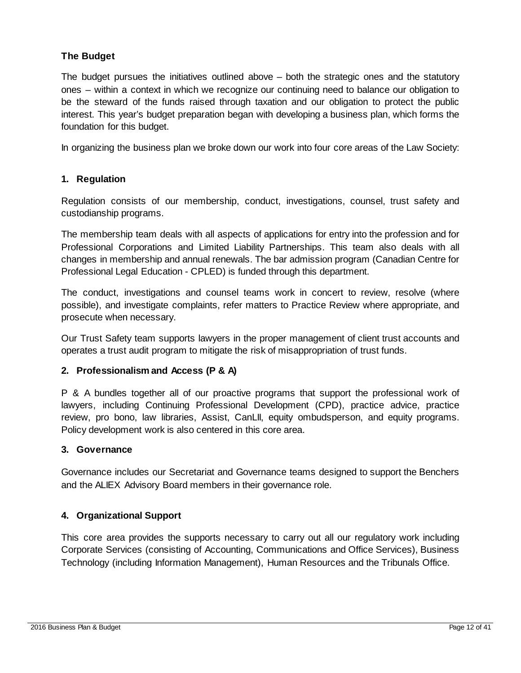#### **The Budget**

The budget pursues the initiatives outlined above – both the strategic ones and the statutory ones – within a context in which we recognize our continuing need to balance our obligation to be the steward of the funds raised through taxation and our obligation to protect the public interest. This year's budget preparation began with developing a business plan, which forms the foundation for this budget.

In organizing the business plan we broke down our work into four core areas of the Law Society:

#### **1. Regulation**

Regulation consists of our membership, conduct, investigations, counsel, trust safety and custodianship programs.

The membership team deals with all aspects of applications for entry into the profession and for Professional Corporations and Limited Liability Partnerships. This team also deals with all changes in membership and annual renewals. The bar admission program (Canadian Centre for Professional Legal Education - CPLED) is funded through this department.

The conduct, investigations and counsel teams work in concert to review, resolve (where possible), and investigate complaints, refer matters to Practice Review where appropriate, and prosecute when necessary.

Our Trust Safety team supports lawyers in the proper management of client trust accounts and operates a trust audit program to mitigate the risk of misappropriation of trust funds.

#### **2. Professionalism and Access (P & A)**

P & A bundles together all of our proactive programs that support the professional work of lawyers, including Continuing Professional Development (CPD), practice advice, practice review, pro bono, law libraries, Assist, CanLII, equity ombudsperson, and equity programs. Policy development work is also centered in this core area.

#### **3. Governance**

Governance includes our Secretariat and Governance teams designed to support the Benchers and the ALIEX Advisory Board members in their governance role.

#### **4. Organizational Support**

This core area provides the supports necessary to carry out all our regulatory work including Corporate Services (consisting of Accounting, Communications and Office Services), Business Technology (including Information Management), Human Resources and the Tribunals Office.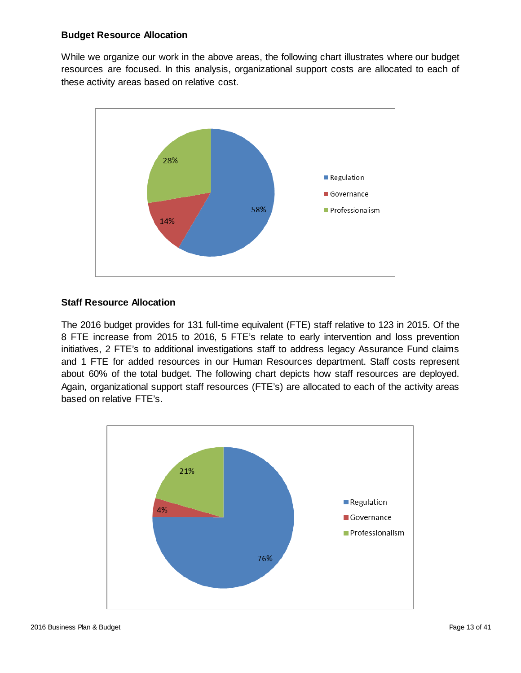#### **Budget Resource Allocation**

While we organize our work in the above areas, the following chart illustrates where our budget resources are focused. In this analysis, organizational support costs are allocated to each of these activity areas based on relative cost.



#### **Staff Resource Allocation**

The 2016 budget provides for 131 full-time equivalent (FTE) staff relative to 123 in 2015. Of the 8 FTE increase from 2015 to 2016, 5 FTE's relate to early intervention and loss prevention initiatives, 2 FTE's to additional investigations staff to address legacy Assurance Fund claims and 1 FTE for added resources in our Human Resources department. Staff costs represent about 60% of the total budget. The following chart depicts how staff resources are deployed. Again, organizational support staff resources (FTE's) are allocated to each of the activity areas based on relative FTE's.

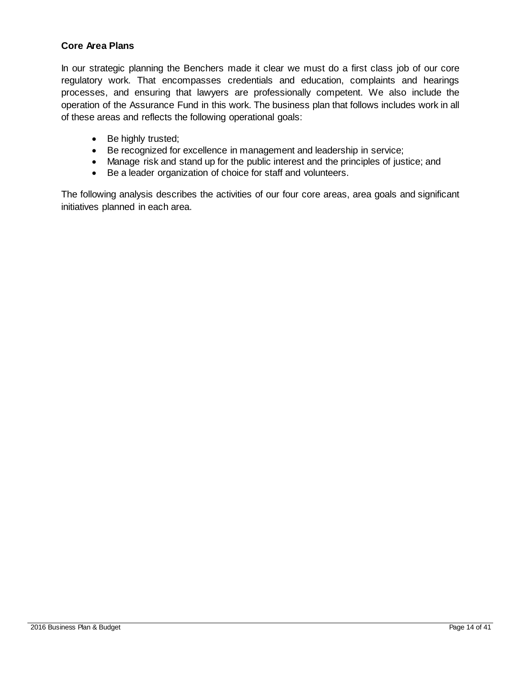#### **Core Area Plans**

In our strategic planning the Benchers made it clear we must do a first class job of our core regulatory work. That encompasses credentials and education, complaints and hearings processes, and ensuring that lawyers are professionally competent. We also include the operation of the Assurance Fund in this work. The business plan that follows includes work in all of these areas and reflects the following operational goals:

- Be highly trusted;
- Be recognized for excellence in management and leadership in service;
- Manage risk and stand up for the public interest and the principles of justice; and
- Be a leader organization of choice for staff and volunteers.

The following analysis describes the activities of our four core areas, area goals and significant initiatives planned in each area.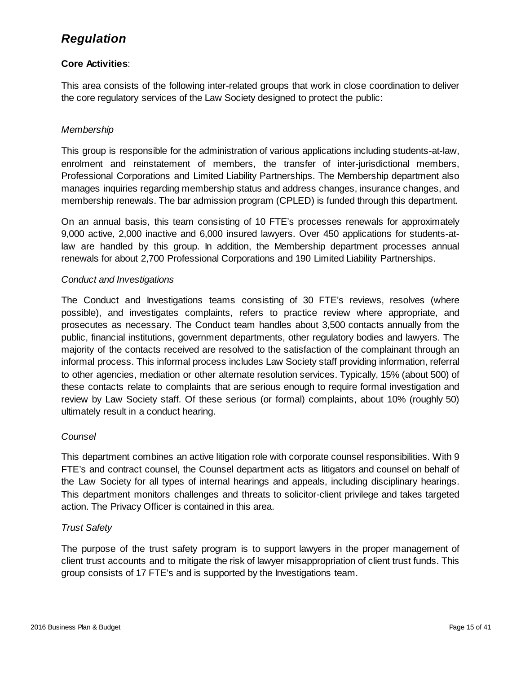### <span id="page-14-0"></span>*Regulation*

#### **Core Activities**:

This area consists of the following inter-related groups that work in close coordination to deliver the core regulatory services of the Law Society designed to protect the public:

#### *Membership*

This group is responsible for the administration of various applications including students-at-law, enrolment and reinstatement of members, the transfer of inter-jurisdictional members, Professional Corporations and Limited Liability Partnerships. The Membership department also manages inquiries regarding membership status and address changes, insurance changes, and membership renewals. The bar admission program (CPLED) is funded through this department.

On an annual basis, this team consisting of 10 FTE's processes renewals for approximately 9,000 active, 2,000 inactive and 6,000 insured lawyers. Over 450 applications for students-atlaw are handled by this group. In addition, the Membership department processes annual renewals for about 2,700 Professional Corporations and 190 Limited Liability Partnerships.

#### *Conduct and Investigations*

The Conduct and Investigations teams consisting of 30 FTE's reviews, resolves (where possible), and investigates complaints, refers to practice review where appropriate, and prosecutes as necessary. The Conduct team handles about 3,500 contacts annually from the public, financial institutions, government departments, other regulatory bodies and lawyers. The majority of the contacts received are resolved to the satisfaction of the complainant through an informal process. This informal process includes Law Society staff providing information, referral to other agencies, mediation or other alternate resolution services. Typically, 15% (about 500) of these contacts relate to complaints that are serious enough to require formal investigation and review by Law Society staff. Of these serious (or formal) complaints, about 10% (roughly 50) ultimately result in a conduct hearing.

#### *Counsel*

This department combines an active litigation role with corporate counsel responsibilities. With 9 FTE's and contract counsel, the Counsel department acts as litigators and counsel on behalf of the Law Society for all types of internal hearings and appeals, including disciplinary hearings. This department monitors challenges and threats to solicitor-client privilege and takes targeted action. The Privacy Officer is contained in this area.

#### *Trust Safety*

The purpose of the trust safety program is to support lawyers in the proper management of client trust accounts and to mitigate the risk of lawyer misappropriation of client trust funds. This group consists of 17 FTE's and is supported by the Investigations team.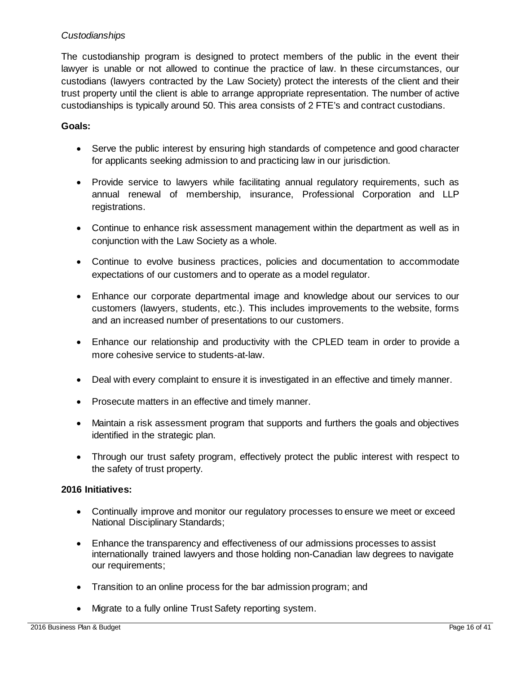#### *Custodianships*

The custodianship program is designed to protect members of the public in the event their lawyer is unable or not allowed to continue the practice of law. In these circumstances, our custodians (lawyers contracted by the Law Society) protect the interests of the client and their trust property until the client is able to arrange appropriate representation. The number of active custodianships is typically around 50. This area consists of 2 FTE's and contract custodians.

#### **Goals:**

- Serve the public interest by ensuring high standards of competence and good character for applicants seeking admission to and practicing law in our jurisdiction.
- Provide service to lawyers while facilitating annual regulatory requirements, such as annual renewal of membership, insurance, Professional Corporation and LLP registrations.
- Continue to enhance risk assessment management within the department as well as in conjunction with the Law Society as a whole.
- Continue to evolve business practices, policies and documentation to accommodate expectations of our customers and to operate as a model regulator.
- Enhance our corporate departmental image and knowledge about our services to our customers (lawyers, students, etc.). This includes improvements to the website, forms and an increased number of presentations to our customers.
- Enhance our relationship and productivity with the CPLED team in order to provide a more cohesive service to students-at-law.
- Deal with every complaint to ensure it is investigated in an effective and timely manner.
- Prosecute matters in an effective and timely manner.
- Maintain a risk assessment program that supports and furthers the goals and objectives identified in the strategic plan.
- Through our trust safety program, effectively protect the public interest with respect to the safety of trust property.

#### **2016 Initiatives:**

- Continually improve and monitor our regulatory processes to ensure we meet or exceed National Disciplinary Standards;
- Enhance the transparency and effectiveness of our admissions processes to assist internationally trained lawyers and those holding non-Canadian law degrees to navigate our requirements;
- Transition to an online process for the bar admission program; and
- Migrate to a fully online Trust Safety reporting system.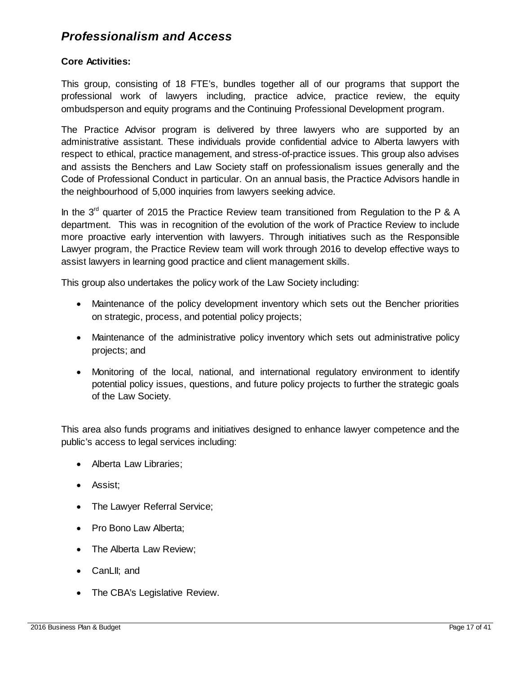### <span id="page-16-0"></span>*Professionalism and Access*

#### **Core Activities:**

This group, consisting of 18 FTE's, bundles together all of our programs that support the professional work of lawyers including, practice advice, practice review, the equity ombudsperson and equity programs and the Continuing Professional Development program.

The Practice Advisor program is delivered by three lawyers who are supported by an administrative assistant. These individuals provide confidential advice to Alberta lawyers with respect to ethical, practice management, and stress-of-practice issues. This group also advises and assists the Benchers and Law Society staff on professionalism issues generally and the Code of Professional Conduct in particular. On an annual basis, the Practice Advisors handle in the neighbourhood of 5,000 inquiries from lawyers seeking advice.

In the  $3<sup>rd</sup>$  quarter of 2015 the Practice Review team transitioned from Regulation to the P & A department. This was in recognition of the evolution of the work of Practice Review to include more proactive early intervention with lawyers. Through initiatives such as the Responsible Lawyer program, the Practice Review team will work through 2016 to develop effective ways to assist lawyers in learning good practice and client management skills.

This group also undertakes the policy work of the Law Society including:

- Maintenance of the policy development inventory which sets out the Bencher priorities on strategic, process, and potential policy projects;
- Maintenance of the administrative policy inventory which sets out administrative policy projects; and
- Monitoring of the local, national, and international regulatory environment to identify potential policy issues, questions, and future policy projects to further the strategic goals of the Law Society.

This area also funds programs and initiatives designed to enhance lawyer competence and the public's access to legal services including:

- Alberta Law Libraries;
- Assist;
- The Lawyer Referral Service;
- Pro Bono Law Alberta;
- The Alberta Law Review;
- CanLII; and
- The CBA's Legislative Review.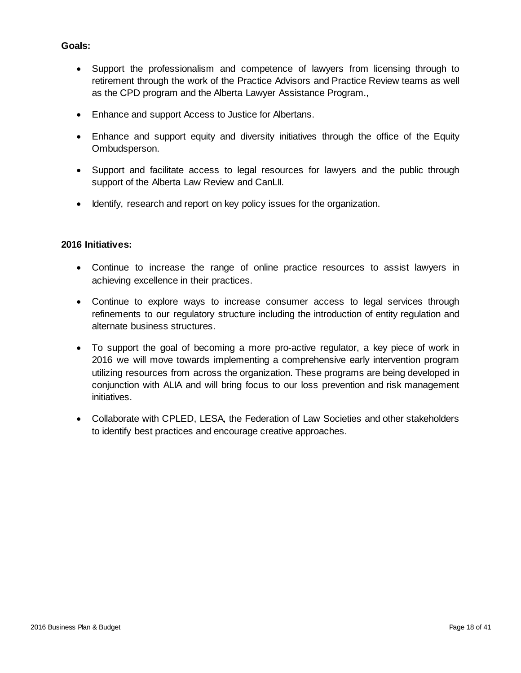#### **Goals:**

- Support the professionalism and competence of lawyers from licensing through to retirement through the work of the Practice Advisors and Practice Review teams as well as the CPD program and the Alberta Lawyer Assistance Program.,
- Enhance and support Access to Justice for Albertans.
- Enhance and support equity and diversity initiatives through the office of the Equity Ombudsperson.
- Support and facilitate access to legal resources for lawyers and the public through support of the Alberta Law Review and CanLII.
- Identify, research and report on key policy issues for the organization.

#### **2016 Initiatives:**

- Continue to increase the range of online practice resources to assist lawyers in achieving excellence in their practices.
- Continue to explore ways to increase consumer access to legal services through refinements to our regulatory structure including the introduction of entity regulation and alternate business structures.
- To support the goal of becoming a more pro-active regulator, a key piece of work in 2016 we will move towards implementing a comprehensive early intervention program utilizing resources from across the organization. These programs are being developed in conjunction with ALIA and will bring focus to our loss prevention and risk management initiatives.
- Collaborate with CPLED, LESA, the Federation of Law Societies and other stakeholders to identify best practices and encourage creative approaches.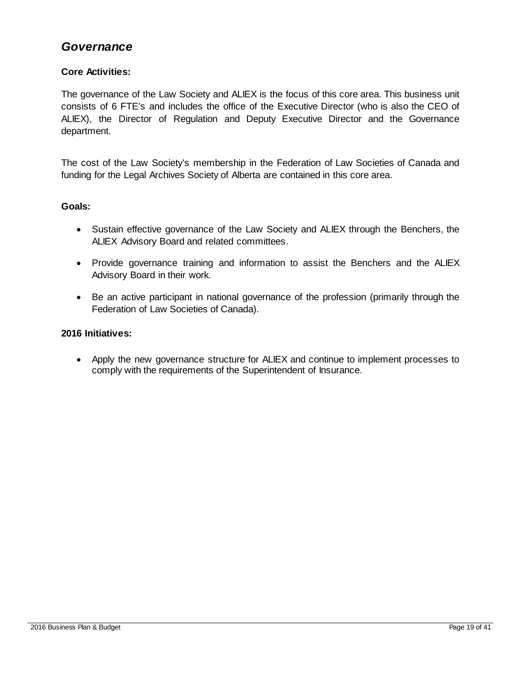### <span id="page-18-0"></span>*Governance*

#### **Core Activities:**

The governance of the Law Society and ALIEX is the focus of this core area. This business unit consists of 6 FTE's and includes the office of the Executive Director (who is also the CEO of ALIEX), the Director of Regulation and Deputy Executive Director and the Governance department.

The cost of the Law Society's membership in the Federation of Law Societies of Canada and funding for the Legal Archives Society of Alberta are contained in this core area.

#### **Goals:**

- Sustain effective governance of the Law Society and ALIEX through the Benchers, the ALIEX Advisory Board and related committees.
- Provide governance training and information to assist the Benchers and the ALIEX Advisory Board in their work.
- Be an active participant in national governance of the profession (primarily through the Federation of Law Societies of Canada).

#### **2016 Initiatives:**

• Apply the new governance structure for ALIEX and continue to implement processes to comply with the requirements of the Superintendent of Insurance.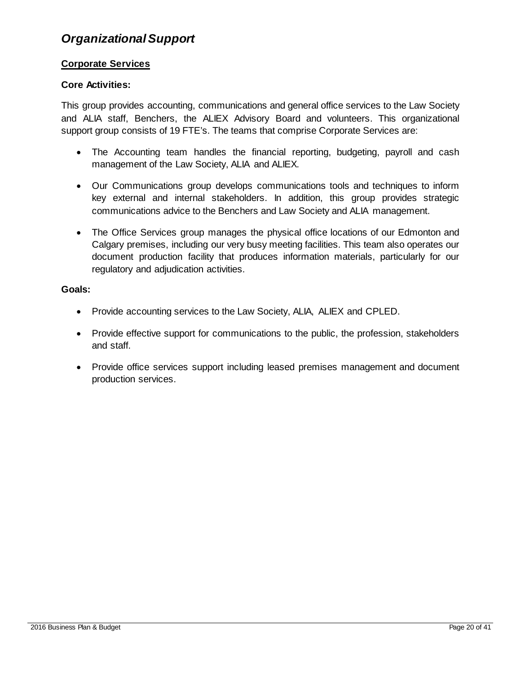### <span id="page-19-0"></span>*Organizational Support*

#### **Corporate Services**

#### **Core Activities:**

This group provides accounting, communications and general office services to the Law Society and ALIA staff, Benchers, the ALIEX Advisory Board and volunteers. This organizational support group consists of 19 FTE's. The teams that comprise Corporate Services are:

- The Accounting team handles the financial reporting, budgeting, payroll and cash management of the Law Society, ALIA and ALIEX.
- Our Communications group develops communications tools and techniques to inform key external and internal stakeholders. In addition, this group provides strategic communications advice to the Benchers and Law Society and ALIA management.
- The Office Services group manages the physical office locations of our Edmonton and Calgary premises, including our very busy meeting facilities. This team also operates our document production facility that produces information materials, particularly for our regulatory and adjudication activities.

#### **Goals:**

- Provide accounting services to the Law Society, ALIA, ALIEX and CPLED.
- Provide effective support for communications to the public, the profession, stakeholders and staff.
- Provide office services support including leased premises management and document production services.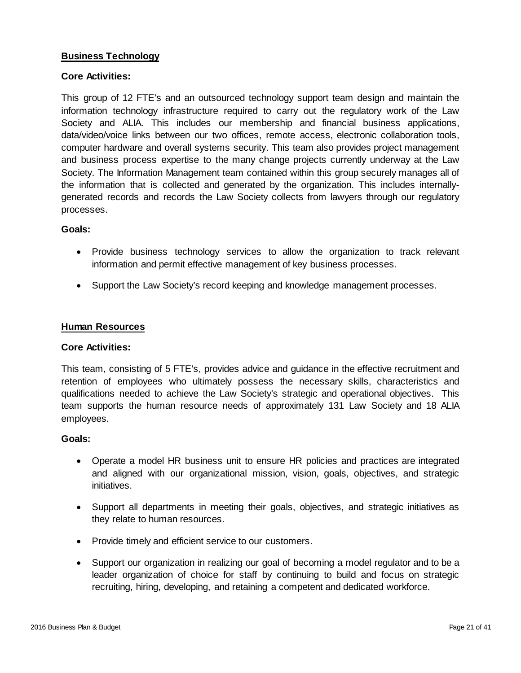#### **Business Technology**

#### **Core Activities:**

This group of 12 FTE's and an outsourced technology support team design and maintain the information technology infrastructure required to carry out the regulatory work of the Law Society and ALIA. This includes our membership and financial business applications, data/video/voice links between our two offices, remote access, electronic collaboration tools, computer hardware and overall systems security. This team also provides project management and business process expertise to the many change projects currently underway at the Law Society. The Information Management team contained within this group securely manages all of the information that is collected and generated by the organization. This includes internallygenerated records and records the Law Society collects from lawyers through our regulatory processes.

#### **Goals:**

- Provide business technology services to allow the organization to track relevant information and permit effective management of key business processes.
- Support the Law Society's record keeping and knowledge management processes.

#### **Human Resources**

#### **Core Activities:**

This team, consisting of 5 FTE's, provides advice and guidance in the effective recruitment and retention of employees who ultimately possess the necessary skills, characteristics and qualifications needed to achieve the Law Society's strategic and operational objectives. This team supports the human resource needs of approximately 131 Law Society and 18 ALIA employees.

#### **Goals:**

- Operate a model HR business unit to ensure HR policies and practices are integrated and aligned with our organizational mission, vision, goals, objectives, and strategic initiatives.
- Support all departments in meeting their goals, objectives, and strategic initiatives as they relate to human resources.
- Provide timely and efficient service to our customers.
- Support our organization in realizing our goal of becoming a model regulator and to be a leader organization of choice for staff by continuing to build and focus on strategic recruiting, hiring, developing, and retaining a competent and dedicated workforce.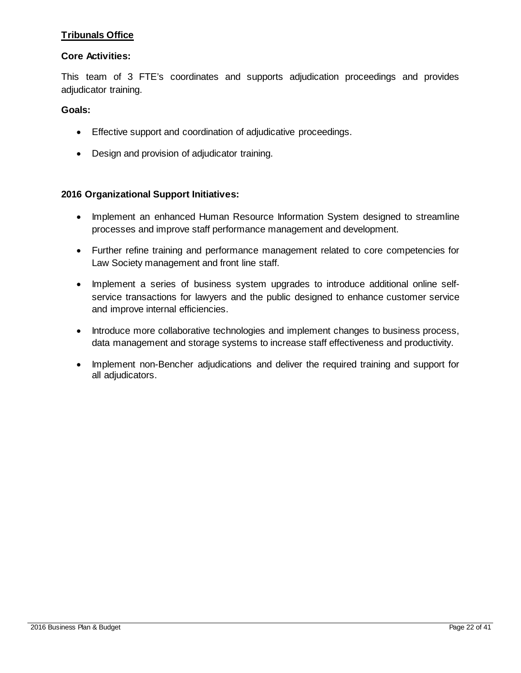#### **Tribunals Office**

#### **Core Activities:**

This team of 3 FTE's coordinates and supports adjudication proceedings and provides adjudicator training.

#### **Goals:**

- Effective support and coordination of adjudicative proceedings.
- Design and provision of adjudicator training.

#### **2016 Organizational Support Initiatives:**

- Implement an enhanced Human Resource Information System designed to streamline processes and improve staff performance management and development.
- Further refine training and performance management related to core competencies for Law Society management and front line staff.
- Implement a series of business system upgrades to introduce additional online selfservice transactions for lawyers and the public designed to enhance customer service and improve internal efficiencies.
- Introduce more collaborative technologies and implement changes to business process, data management and storage systems to increase staff effectiveness and productivity.
- Implement non-Bencher adjudications and deliver the required training and support for all adjudicators.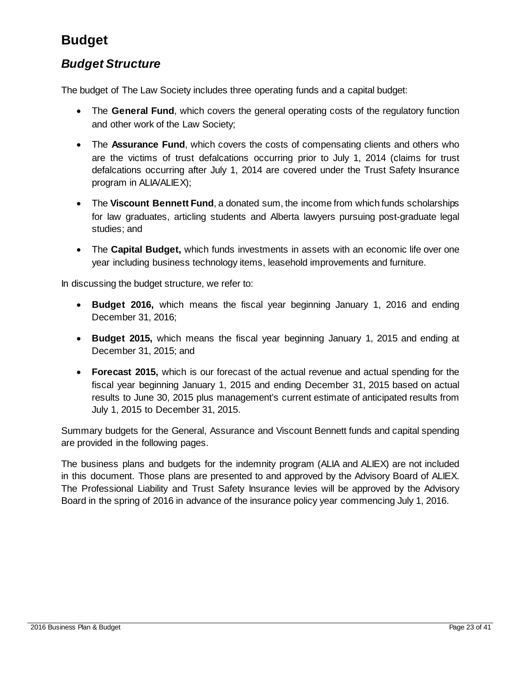### <span id="page-22-0"></span>**Budget**

### <span id="page-22-1"></span>*Budget Structure*

The budget of The Law Society includes three operating funds and a capital budget:

- The **General Fund**, which covers the general operating costs of the regulatory function and other work of the Law Society;
- The **Assurance Fund**, which covers the costs of compensating clients and others who are the victims of trust defalcations occurring prior to July 1, 2014 (claims for trust defalcations occurring after July 1, 2014 are covered under the Trust Safety Insurance program in ALIA/ALIEX);
- The **Viscount Bennett Fund**, a donated sum, the income from which funds scholarships for law graduates, articling students and Alberta lawyers pursuing post-graduate legal studies; and
- The **Capital Budget,** which funds investments in assets with an economic life over one year including business technology items, leasehold improvements and furniture.

In discussing the budget structure, we refer to:

- **Budget 2016,** which means the fiscal year beginning January 1, 2016 and ending December 31, 2016;
- **Budget 2015,** which means the fiscal year beginning January 1, 2015 and ending at December 31, 2015; and
- **Forecast 2015,** which is our forecast of the actual revenue and actual spending for the fiscal year beginning January 1, 2015 and ending December 31, 2015 based on actual results to June 30, 2015 plus management's current estimate of anticipated results from July 1, 2015 to December 31, 2015.

Summary budgets for the General, Assurance and Viscount Bennett funds and capital spending are provided in the following pages.

The business plans and budgets for the indemnity program (ALIA and ALIEX) are not included in this document. Those plans are presented to and approved by the Advisory Board of ALIEX. The Professional Liability and Trust Safety Insurance levies will be approved by the Advisory Board in the spring of 2016 in advance of the insurance policy year commencing July 1, 2016.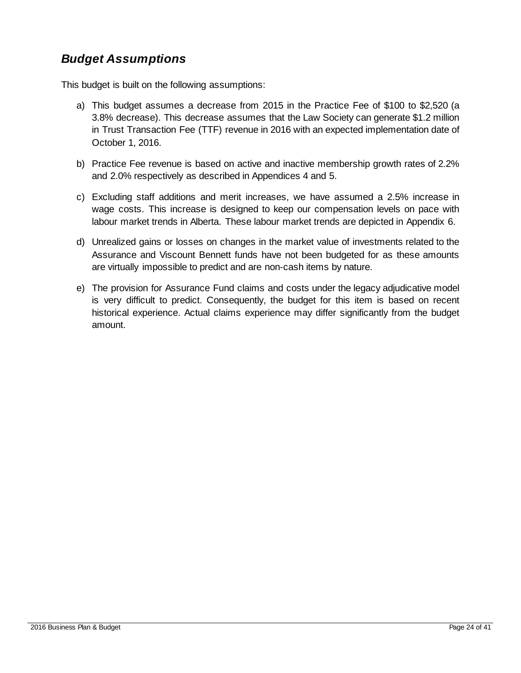### <span id="page-23-0"></span>*Budget Assumptions*

This budget is built on the following assumptions:

- a) This budget assumes a decrease from 2015 in the Practice Fee of \$100 to \$2,520 (a 3.8% decrease). This decrease assumes that the Law Society can generate \$1.2 million in Trust Transaction Fee (TTF) revenue in 2016 with an expected implementation date of October 1, 2016.
- b) Practice Fee revenue is based on active and inactive membership growth rates of 2.2% and 2.0% respectively as described in Appendices 4 and 5.
- c) Excluding staff additions and merit increases, we have assumed a 2.5% increase in wage costs. This increase is designed to keep our compensation levels on pace with labour market trends in Alberta. These labour market trends are depicted in Appendix 6.
- d) Unrealized gains or losses on changes in the market value of investments related to the Assurance and Viscount Bennett funds have not been budgeted for as these amounts are virtually impossible to predict and are non-cash items by nature.
- e) The provision for Assurance Fund claims and costs under the legacy adjudicative model is very difficult to predict. Consequently, the budget for this item is based on recent historical experience. Actual claims experience may differ significantly from the budget amount.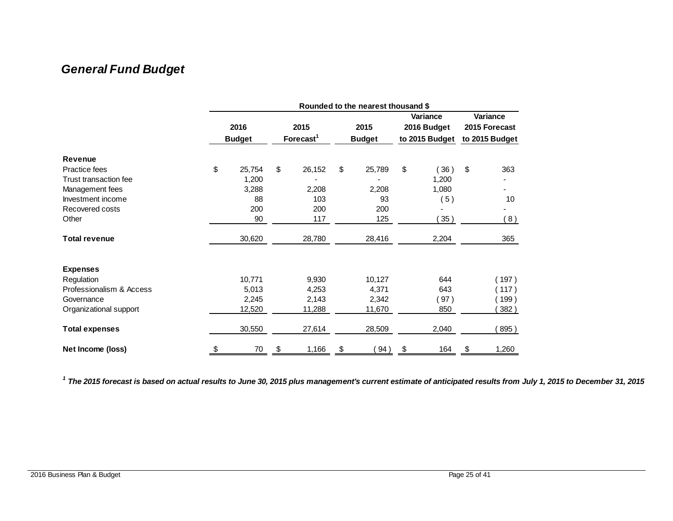### *General Fund Budget*

<span id="page-24-0"></span>

|                          | Rounded to the nearest thousand \$ |        |                               |        |                       |        |                                           |       |                                             |
|--------------------------|------------------------------------|--------|-------------------------------|--------|-----------------------|--------|-------------------------------------------|-------|---------------------------------------------|
|                          | 2016<br><b>Budget</b>              |        | 2015<br>Forecast <sup>1</sup> |        | 2015<br><b>Budget</b> |        | Variance<br>2016 Budget<br>to 2015 Budget |       | Variance<br>2015 Forecast<br>to 2015 Budget |
| <b>Revenue</b>           |                                    |        |                               |        |                       |        |                                           |       |                                             |
| Practice fees            | \$                                 | 25,754 | \$                            | 26,152 | \$                    | 25,789 | \$                                        | 36)   | \$<br>363                                   |
| Trust transaction fee    |                                    | 1,200  |                               |        |                       |        |                                           | 1,200 |                                             |
| Management fees          |                                    | 3,288  |                               | 2,208  |                       | 2,208  |                                           | 1,080 |                                             |
| Investment income        |                                    | 88     |                               | 103    |                       | 93     |                                           | 5)    | 10                                          |
| Recovered costs          |                                    | 200    |                               | 200    |                       | 200    |                                           |       |                                             |
| Other                    |                                    | 90     |                               | 117    |                       | 125    |                                           | 35)   | (8)                                         |
| <b>Total revenue</b>     |                                    | 30,620 |                               | 28,780 |                       | 28,416 |                                           | 2,204 | 365                                         |
| <b>Expenses</b>          |                                    |        |                               |        |                       |        |                                           |       |                                             |
| Regulation               |                                    | 10,771 |                               | 9,930  |                       | 10,127 |                                           | 644   | 197)                                        |
| Professionalism & Access |                                    | 5,013  |                               | 4,253  |                       | 4,371  |                                           | 643   | 117)                                        |
| Governance               |                                    | 2,245  |                               | 2,143  |                       | 2,342  |                                           | 97)   | 199)                                        |
| Organizational support   |                                    | 12,520 |                               | 11,288 |                       | 11,670 |                                           | 850   | 382)                                        |
| <b>Total expenses</b>    |                                    | 30,550 |                               | 27,614 |                       | 28,509 |                                           | 2,040 | 895)                                        |
| Net Income (loss)        | \$                                 | 70     | \$                            | 1,166  | \$                    | 94)    | \$                                        | 164   | \$<br>1,260                                 |

*1 The 2015 forecast is based on actual results to June 30, 2015 plus management's current estimate of anticipated results from July 1, 2015 to December 31, 2015*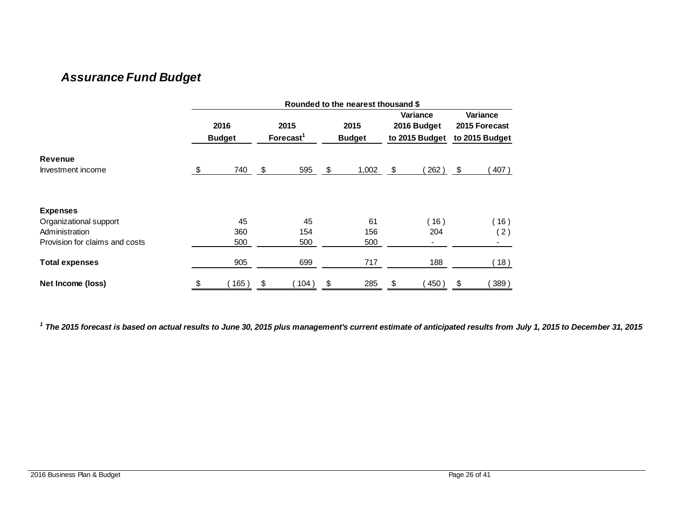### *Assurance Fund Budget*

|                                | Rounded to the nearest thousand \$ |                       |    |                               |    |                       |                                                  |                                             |
|--------------------------------|------------------------------------|-----------------------|----|-------------------------------|----|-----------------------|--------------------------------------------------|---------------------------------------------|
|                                |                                    | 2016<br><b>Budget</b> |    | 2015<br>Forecast <sup>1</sup> |    | 2015<br><b>Budget</b> | <b>Variance</b><br>2016 Budget<br>to 2015 Budget | Variance<br>2015 Forecast<br>to 2015 Budget |
| <b>Revenue</b>                 |                                    |                       |    |                               |    |                       |                                                  |                                             |
| Investment income              | $\sqrt[6]{3}$                      | 740                   | \$ | 595                           | \$ | 1,002                 | \$<br>262)                                       | \$<br>407)                                  |
| <b>Expenses</b>                |                                    |                       |    |                               |    |                       |                                                  |                                             |
| Organizational support         |                                    | 45                    |    | 45                            |    | 61                    | (16)                                             | (16)                                        |
| Administration                 |                                    | 360                   |    | 154                           |    | 156                   | 204                                              | (2)                                         |
| Provision for claims and costs |                                    | 500                   |    | 500                           |    | 500                   | $\blacksquare$                                   |                                             |
| <b>Total expenses</b>          |                                    | 905                   |    | 699                           |    | 717                   | 188                                              | (18)                                        |
| Net Income (loss)              | \$                                 | 165)                  | \$ | 104)                          | \$ | 285                   | \$<br>450                                        | \$<br>389)                                  |

<span id="page-25-0"></span>*1 The 2015 forecast is based on actual results to June 30, 2015 plus management's current estimate of anticipated results from July 1, 2015 to December 31, 2015*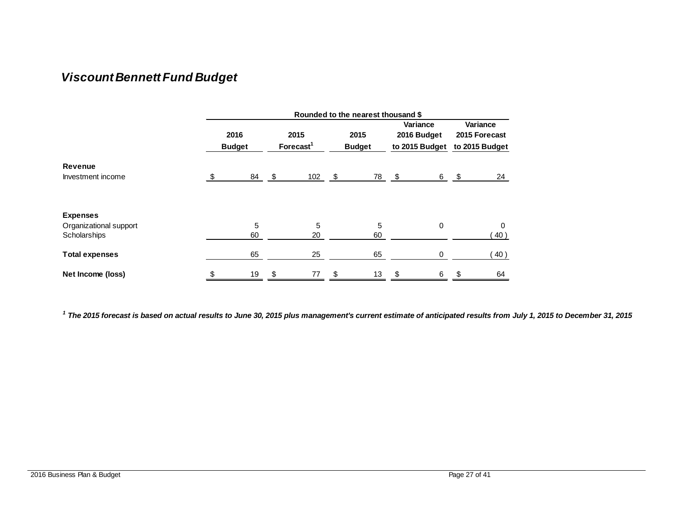### *Viscount Bennett Fund Budget*

|                        | Rounded to the nearest thousand \$ |    |                               |    |                       |      |                                           |                                             |
|------------------------|------------------------------------|----|-------------------------------|----|-----------------------|------|-------------------------------------------|---------------------------------------------|
|                        | 2016<br><b>Budget</b>              |    | 2015<br>Forecast <sup>1</sup> |    | 2015<br><b>Budget</b> |      | Variance<br>2016 Budget<br>to 2015 Budget | Variance<br>2015 Forecast<br>to 2015 Budget |
| Revenue                |                                    |    |                               |    |                       |      |                                           |                                             |
| Investment income      | \$<br>84                           | \$ | 102                           | \$ | 78                    | - \$ | 6                                         | \$<br>24                                    |
| <b>Expenses</b>        |                                    |    |                               |    |                       |      |                                           |                                             |
| Organizational support | 5                                  |    | 5                             |    | 5                     |      | 0                                         | 0                                           |
| Scholarships           | 60                                 |    | 20                            |    | 60                    |      |                                           | 40)                                         |
| <b>Total expenses</b>  | 65                                 |    | 25                            |    | 65                    |      | 0                                         | 40)                                         |
| Net Income (loss)      | \$<br>19                           | \$ | 77                            | \$ | 13                    | \$   | 6                                         | \$<br>64                                    |

<span id="page-26-0"></span>*1 The 2015 forecast is based on actual results to June 30, 2015 plus management's current estimate of anticipated results from July 1, 2015 to December 31, 2015*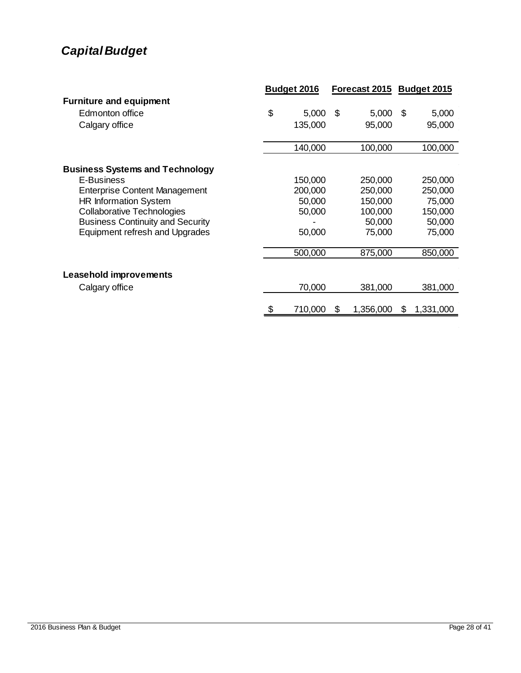### <span id="page-27-0"></span>*Capital Budget*

|                                         | Budget 2016 |         | Forecast 2015 Budget 2015 |           |      |           |
|-----------------------------------------|-------------|---------|---------------------------|-----------|------|-----------|
| <b>Furniture and equipment</b>          |             |         |                           |           |      |           |
| Edmonton office                         | \$          | 5,000   | -S                        | 5,000     | - \$ | 5,000     |
| Calgary office                          |             | 135,000 |                           | 95,000    |      | 95,000    |
|                                         |             | 140,000 |                           | 100,000   |      | 100,000   |
| <b>Business Systems and Technology</b>  |             |         |                           |           |      |           |
| E-Business                              |             | 150,000 |                           | 250,000   |      | 250,000   |
| <b>Enterprise Content Management</b>    |             | 200,000 |                           | 250,000   |      | 250,000   |
| <b>HR Information System</b>            |             | 50,000  |                           | 150,000   |      | 75,000    |
| <b>Collaborative Technologies</b>       |             | 50,000  |                           | 100,000   |      | 150,000   |
| <b>Business Continuity and Security</b> |             |         |                           | 50,000    |      | 50,000    |
| Equipment refresh and Upgrades          |             | 50,000  |                           | 75,000    |      | 75,000    |
|                                         |             | 500,000 |                           | 875,000   |      | 850,000   |
| Leasehold improvements                  |             |         |                           |           |      |           |
| Calgary office                          |             | 70,000  |                           | 381,000   |      | 381,000   |
|                                         |             | 710,000 | \$                        | 1,356,000 | S    | 1,331,000 |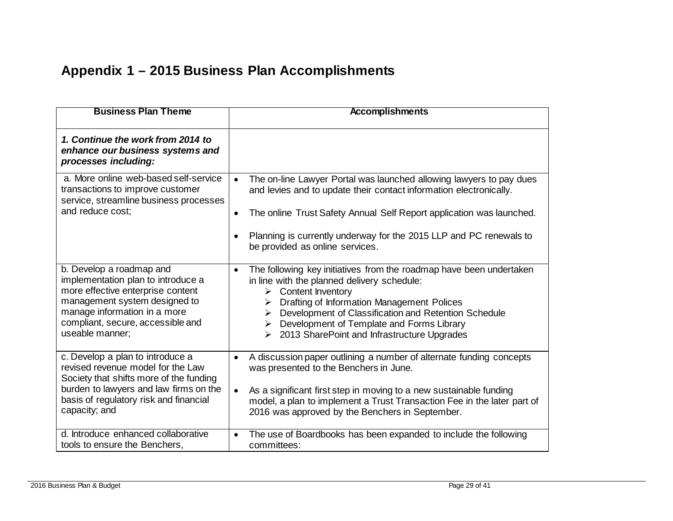### **Appendix 1 – 2015 Business Plan Accomplishments**

<span id="page-28-0"></span>

| <b>Business Plan Theme</b>                                                                                                                                                                                                   | <b>Accomplishments</b>                                                                                                                                                                                                                                                                                                                                                |
|------------------------------------------------------------------------------------------------------------------------------------------------------------------------------------------------------------------------------|-----------------------------------------------------------------------------------------------------------------------------------------------------------------------------------------------------------------------------------------------------------------------------------------------------------------------------------------------------------------------|
| 1. Continue the work from 2014 to<br>enhance our business systems and<br>processes including:                                                                                                                                |                                                                                                                                                                                                                                                                                                                                                                       |
| a. More online web-based self-service<br>transactions to improve customer<br>service, streamline business processes<br>and reduce cost:                                                                                      | The on-line Lawyer Portal was launched allowing lawyers to pay dues<br>$\bullet$<br>and levies and to update their contact information electronically.<br>The online Trust Safety Annual Self Report application was launched.<br>$\bullet$                                                                                                                           |
|                                                                                                                                                                                                                              | Planning is currently underway for the 2015 LLP and PC renewals to<br>$\bullet$<br>be provided as online services.                                                                                                                                                                                                                                                    |
| b. Develop a roadmap and<br>implementation plan to introduce a<br>more effective enterprise content<br>management system designed to<br>manage information in a more<br>compliant, secure, accessible and<br>useable manner: | The following key initiatives from the roadmap have been undertaken<br>$\bullet$<br>in line with the planned delivery schedule:<br>Content Inventory<br>➤<br>Drafting of Information Management Polices<br>Development of Classification and Retention Schedule<br>Development of Template and Forms Library<br>≻<br>2013 SharePoint and Infrastructure Upgrades<br>➤ |
| c. Develop a plan to introduce a<br>revised revenue model for the Law<br>Society that shifts more of the funding<br>burden to lawyers and law firms on the<br>basis of regulatory risk and financial<br>capacity; and        | A discussion paper outlining a number of alternate funding concepts<br>$\bullet$<br>was presented to the Benchers in June.<br>As a significant first step in moving to a new sustainable funding<br>$\bullet$<br>model, a plan to implement a Trust Transaction Fee in the later part of<br>2016 was approved by the Benchers in September.                           |
| d. Introduce enhanced collaborative<br>tools to ensure the Benchers,                                                                                                                                                         | The use of Boardbooks has been expanded to include the following<br>$\bullet$<br>committees:                                                                                                                                                                                                                                                                          |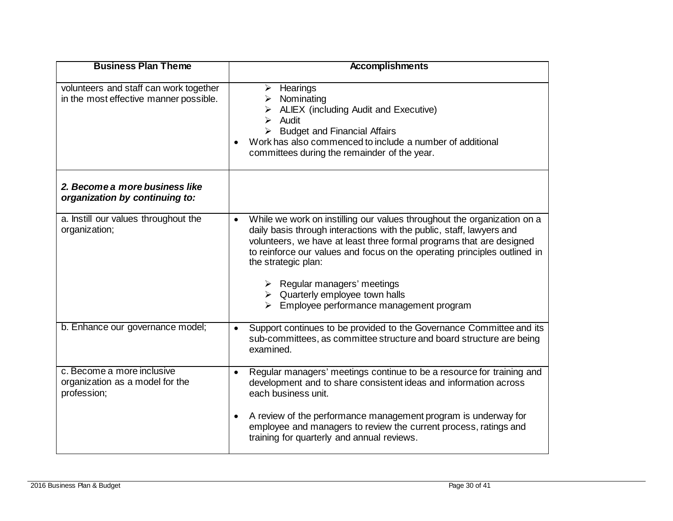| <b>Business Plan Theme</b>                                                       | <b>Accomplishments</b>                                                                                                                                                                                                                                                                                                                                                                                                                                                                    |
|----------------------------------------------------------------------------------|-------------------------------------------------------------------------------------------------------------------------------------------------------------------------------------------------------------------------------------------------------------------------------------------------------------------------------------------------------------------------------------------------------------------------------------------------------------------------------------------|
| volunteers and staff can work together<br>in the most effective manner possible. | $\triangleright$ Hearings<br>Nominating<br>ALIEX (including Audit and Executive)<br>Audit<br><b>Budget and Financial Affairs</b><br>Work has also commenced to include a number of additional<br>$\bullet$<br>committees during the remainder of the year.                                                                                                                                                                                                                                |
| 2. Become a more business like<br>organization by continuing to:                 |                                                                                                                                                                                                                                                                                                                                                                                                                                                                                           |
| a. Instill our values throughout the<br>organization;                            | While we work on instilling our values throughout the organization on a<br>$\bullet$<br>daily basis through interactions with the public, staff, lawyers and<br>volunteers, we have at least three formal programs that are designed<br>to reinforce our values and focus on the operating principles outlined in<br>the strategic plan:<br>$\triangleright$ Regular managers' meetings<br>$\triangleright$ Quarterly employee town halls<br>Employee performance management program<br>➤ |
| b. Enhance our governance model;                                                 | Support continues to be provided to the Governance Committee and its<br>$\bullet$<br>sub-committees, as committee structure and board structure are being<br>examined.                                                                                                                                                                                                                                                                                                                    |
| c. Become a more inclusive<br>organization as a model for the<br>profession;     | Regular managers' meetings continue to be a resource for training and<br>$\bullet$<br>development and to share consistent ideas and information across<br>each business unit.<br>A review of the performance management program is underway for<br>$\bullet$<br>employee and managers to review the current process, ratings and<br>training for quarterly and annual reviews.                                                                                                            |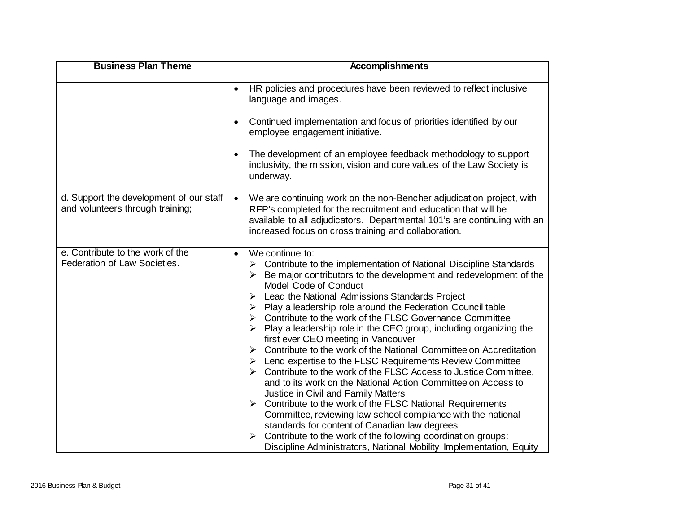| <b>Business Plan Theme</b>                                                  | <b>Accomplishments</b>                                                                                                                                                                                                                                                                                                                                                                                                                                                                                                                                                                                                                                                                                                                                                                                                                                                                                                                                                                                                                                                                                                                                                                                |
|-----------------------------------------------------------------------------|-------------------------------------------------------------------------------------------------------------------------------------------------------------------------------------------------------------------------------------------------------------------------------------------------------------------------------------------------------------------------------------------------------------------------------------------------------------------------------------------------------------------------------------------------------------------------------------------------------------------------------------------------------------------------------------------------------------------------------------------------------------------------------------------------------------------------------------------------------------------------------------------------------------------------------------------------------------------------------------------------------------------------------------------------------------------------------------------------------------------------------------------------------------------------------------------------------|
|                                                                             | HR policies and procedures have been reviewed to reflect inclusive<br>$\bullet$<br>language and images.                                                                                                                                                                                                                                                                                                                                                                                                                                                                                                                                                                                                                                                                                                                                                                                                                                                                                                                                                                                                                                                                                               |
|                                                                             | Continued implementation and focus of priorities identified by our<br>$\bullet$<br>employee engagement initiative.                                                                                                                                                                                                                                                                                                                                                                                                                                                                                                                                                                                                                                                                                                                                                                                                                                                                                                                                                                                                                                                                                    |
|                                                                             | The development of an employee feedback methodology to support<br>$\bullet$<br>inclusivity, the mission, vision and core values of the Law Society is<br>underway.                                                                                                                                                                                                                                                                                                                                                                                                                                                                                                                                                                                                                                                                                                                                                                                                                                                                                                                                                                                                                                    |
| d. Support the development of our staff<br>and volunteers through training; | We are continuing work on the non-Bencher adjudication project, with<br>$\bullet$<br>RFP's completed for the recruitment and education that will be<br>available to all adjudicators. Departmental 101's are continuing with an<br>increased focus on cross training and collaboration.                                                                                                                                                                                                                                                                                                                                                                                                                                                                                                                                                                                                                                                                                                                                                                                                                                                                                                               |
| e. Contribute to the work of the<br>Federation of Law Societies.            | We continue to:<br>$\bullet$<br>$\triangleright$ Contribute to the implementation of National Discipline Standards<br>Be major contributors to the development and redevelopment of the<br>Model Code of Conduct<br>Lead the National Admissions Standards Project<br>≻<br>Play a leadership role around the Federation Council table<br>➤<br>Contribute to the work of the FLSC Governance Committee<br>➤<br>Play a leadership role in the CEO group, including organizing the<br>first ever CEO meeting in Vancouver<br>Contribute to the work of the National Committee on Accreditation<br>➤<br>$\triangleright$ Lend expertise to the FLSC Requirements Review Committee<br>Contribute to the work of the FLSC Access to Justice Committee,<br>and to its work on the National Action Committee on Access to<br>Justice in Civil and Family Matters<br>Contribute to the work of the FLSC National Requirements<br>$\blacktriangleright$<br>Committee, reviewing law school compliance with the national<br>standards for content of Canadian law degrees<br>Contribute to the work of the following coordination groups:<br>Discipline Administrators, National Mobility Implementation, Equity |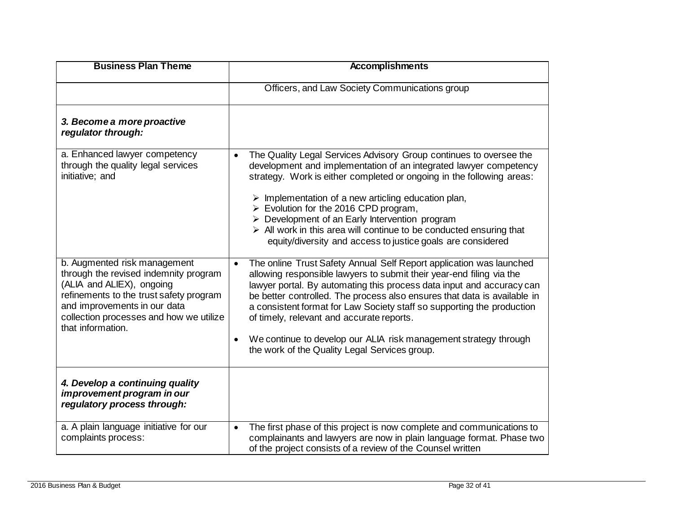| <b>Business Plan Theme</b>                                                                                                                                                                                                                    | <b>Accomplishments</b>                                                                                                                                                                                                                                                                                                                                                                                                                                                                                                                                                            |
|-----------------------------------------------------------------------------------------------------------------------------------------------------------------------------------------------------------------------------------------------|-----------------------------------------------------------------------------------------------------------------------------------------------------------------------------------------------------------------------------------------------------------------------------------------------------------------------------------------------------------------------------------------------------------------------------------------------------------------------------------------------------------------------------------------------------------------------------------|
|                                                                                                                                                                                                                                               | Officers, and Law Society Communications group                                                                                                                                                                                                                                                                                                                                                                                                                                                                                                                                    |
| 3. Become a more proactive<br>regulator through:                                                                                                                                                                                              |                                                                                                                                                                                                                                                                                                                                                                                                                                                                                                                                                                                   |
| a. Enhanced lawyer competency<br>through the quality legal services<br>initiative; and                                                                                                                                                        | The Quality Legal Services Advisory Group continues to oversee the<br>$\bullet$<br>development and implementation of an integrated lawyer competency<br>strategy. Work is either completed or ongoing in the following areas:<br>$\triangleright$ Implementation of a new articling education plan,<br>$\triangleright$ Evolution for the 2016 CPD program,<br>$\triangleright$ Development of an Early Intervention program<br>$\triangleright$ All work in this area will continue to be conducted ensuring that<br>equity/diversity and access to justice goals are considered |
| b. Augmented risk management<br>through the revised indemnity program<br>(ALIA and ALIEX), ongoing<br>refinements to the trust safety program<br>and improvements in our data<br>collection processes and how we utilize<br>that information. | The online Trust Safety Annual Self Report application was launched<br>$\bullet$<br>allowing responsible lawyers to submit their year-end filing via the<br>lawyer portal. By automating this process data input and accuracy can<br>be better controlled. The process also ensures that data is available in<br>a consistent format for Law Society staff so supporting the production<br>of timely, relevant and accurate reports.<br>We continue to develop our ALIA risk management strategy through<br>$\bullet$<br>the work of the Quality Legal Services group.            |
| 4. Develop a continuing quality<br>improvement program in our<br>regulatory process through:                                                                                                                                                  |                                                                                                                                                                                                                                                                                                                                                                                                                                                                                                                                                                                   |
| a. A plain language initiative for our<br>complaints process:                                                                                                                                                                                 | The first phase of this project is now complete and communications to<br>$\bullet$<br>complainants and lawyers are now in plain language format. Phase two<br>of the project consists of a review of the Counsel written                                                                                                                                                                                                                                                                                                                                                          |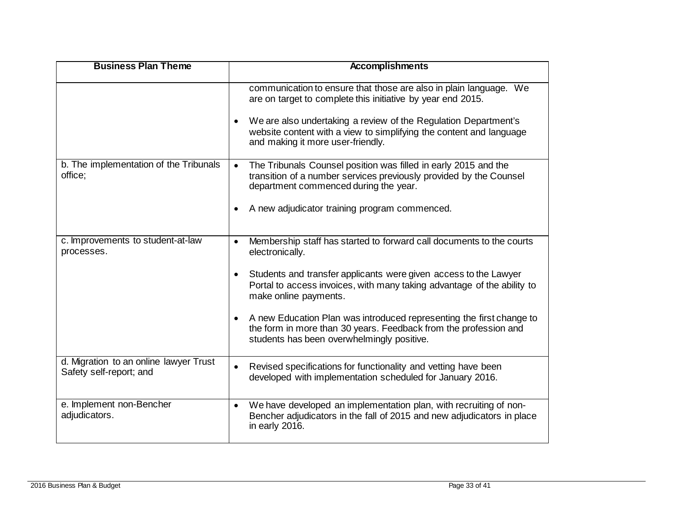| <b>Business Plan Theme</b>                                        | <b>Accomplishments</b>                                                                                                                                                                                                                                                                  |
|-------------------------------------------------------------------|-----------------------------------------------------------------------------------------------------------------------------------------------------------------------------------------------------------------------------------------------------------------------------------------|
|                                                                   | communication to ensure that those are also in plain language. We<br>are on target to complete this initiative by year end 2015.<br>We are also undertaking a review of the Regulation Department's<br>$\bullet$<br>website content with a view to simplifying the content and language |
|                                                                   | and making it more user-friendly.                                                                                                                                                                                                                                                       |
| b. The implementation of the Tribunals<br>office;                 | The Tribunals Counsel position was filled in early 2015 and the<br>$\bullet$<br>transition of a number services previously provided by the Counsel<br>department commenced during the year.                                                                                             |
|                                                                   | A new adjudicator training program commenced.<br>$\bullet$                                                                                                                                                                                                                              |
| c. Improvements to student-at-law<br>processes.                   | Membership staff has started to forward call documents to the courts<br>$\bullet$<br>electronically.                                                                                                                                                                                    |
|                                                                   | Students and transfer applicants were given access to the Lawyer<br>$\bullet$<br>Portal to access invoices, with many taking advantage of the ability to<br>make online payments.                                                                                                       |
|                                                                   | A new Education Plan was introduced representing the first change to<br>$\bullet$<br>the form in more than 30 years. Feedback from the profession and<br>students has been overwhelmingly positive.                                                                                     |
| d. Migration to an online lawyer Trust<br>Safety self-report; and | Revised specifications for functionality and vetting have been<br>$\bullet$<br>developed with implementation scheduled for January 2016.                                                                                                                                                |
| e. Implement non-Bencher<br>adjudicators.                         | We have developed an implementation plan, with recruiting of non-<br>$\bullet$<br>Bencher adjudicators in the fall of 2015 and new adjudicators in place<br>in early 2016.                                                                                                              |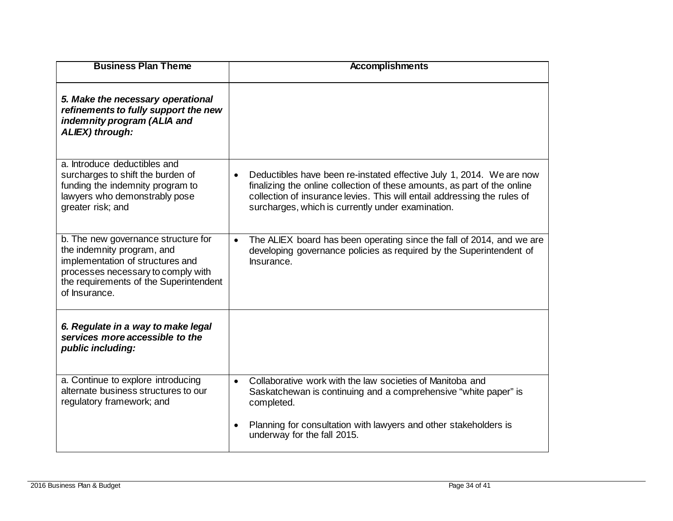| <b>Business Plan Theme</b>                                                                                                                                                                             | <b>Accomplishments</b>                                                                                                                                                                                                                                                                         |
|--------------------------------------------------------------------------------------------------------------------------------------------------------------------------------------------------------|------------------------------------------------------------------------------------------------------------------------------------------------------------------------------------------------------------------------------------------------------------------------------------------------|
| 5. Make the necessary operational<br>refinements to fully support the new<br>indemnity program (ALIA and<br>ALIEX) through:                                                                            |                                                                                                                                                                                                                                                                                                |
| a. Introduce deductibles and<br>surcharges to shift the burden of<br>funding the indemnity program to<br>lawyers who demonstrably pose<br>greater risk; and                                            | Deductibles have been re-instated effective July 1, 2014. We are now<br>$\bullet$<br>finalizing the online collection of these amounts, as part of the online<br>collection of insurance levies. This will entail addressing the rules of<br>surcharges, which is currently under examination. |
| b. The new governance structure for<br>the indemnity program, and<br>implementation of structures and<br>processes necessary to comply with<br>the requirements of the Superintendent<br>of Insurance. | The ALIEX board has been operating since the fall of 2014, and we are<br>$\bullet$<br>developing governance policies as required by the Superintendent of<br>Insurance.                                                                                                                        |
| 6. Regulate in a way to make legal<br>services more accessible to the<br>public including:                                                                                                             |                                                                                                                                                                                                                                                                                                |
| a. Continue to explore introducing<br>alternate business structures to our<br>regulatory framework; and                                                                                                | Collaborative work with the law societies of Manitoba and<br>$\bullet$<br>Saskatchewan is continuing and a comprehensive "white paper" is<br>completed.                                                                                                                                        |
|                                                                                                                                                                                                        | Planning for consultation with lawyers and other stakeholders is<br>$\bullet$<br>underway for the fall 2015.                                                                                                                                                                                   |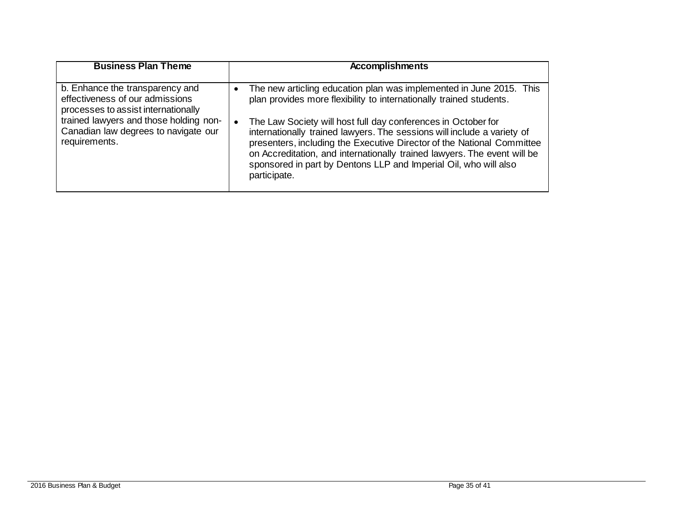| <b>Business Plan Theme</b>                                                                                                                                                                                   | <b>Accomplishments</b>                                                                                                                                                                                                                                                                                                                                                                                                                                                                                                           |
|--------------------------------------------------------------------------------------------------------------------------------------------------------------------------------------------------------------|----------------------------------------------------------------------------------------------------------------------------------------------------------------------------------------------------------------------------------------------------------------------------------------------------------------------------------------------------------------------------------------------------------------------------------------------------------------------------------------------------------------------------------|
| b. Enhance the transparency and<br>effectiveness of our admissions<br>processes to assist internationally<br>trained lawyers and those holding non-<br>Canadian law degrees to navigate our<br>requirements. | The new articling education plan was implemented in June 2015. This<br>plan provides more flexibility to internationally trained students.<br>The Law Society will host full day conferences in October for<br>internationally trained lawyers. The sessions will include a variety of<br>presenters, including the Executive Director of the National Committee<br>on Accreditation, and internationally trained lawyers. The event will be<br>sponsored in part by Dentons LLP and Imperial Oil, who will also<br>participate. |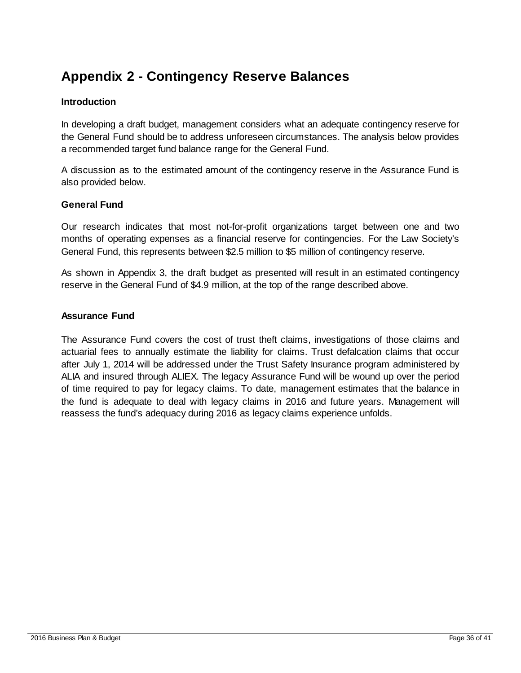### <span id="page-35-0"></span>**Appendix 2 - Contingency Reserve Balances**

#### **Introduction**

In developing a draft budget, management considers what an adequate contingency reserve for the General Fund should be to address unforeseen circumstances. The analysis below provides a recommended target fund balance range for the General Fund.

A discussion as to the estimated amount of the contingency reserve in the Assurance Fund is also provided below.

#### **General Fund**

Our research indicates that most not-for-profit organizations target between one and two months of operating expenses as a financial reserve for contingencies. For the Law Society's General Fund, this represents between \$2.5 million to \$5 million of contingency reserve.

As shown in Appendix 3, the draft budget as presented will result in an estimated contingency reserve in the General Fund of \$4.9 million, at the top of the range described above.

#### **Assurance Fund**

The Assurance Fund covers the cost of trust theft claims, investigations of those claims and actuarial fees to annually estimate the liability for claims. Trust defalcation claims that occur after July 1, 2014 will be addressed under the Trust Safety Insurance program administered by ALIA and insured through ALIEX. The legacy Assurance Fund will be wound up over the period of time required to pay for legacy claims. To date, management estimates that the balance in the fund is adequate to deal with legacy claims in 2016 and future years. Management will reassess the fund's adequacy during 2016 as legacy claims experience unfolds.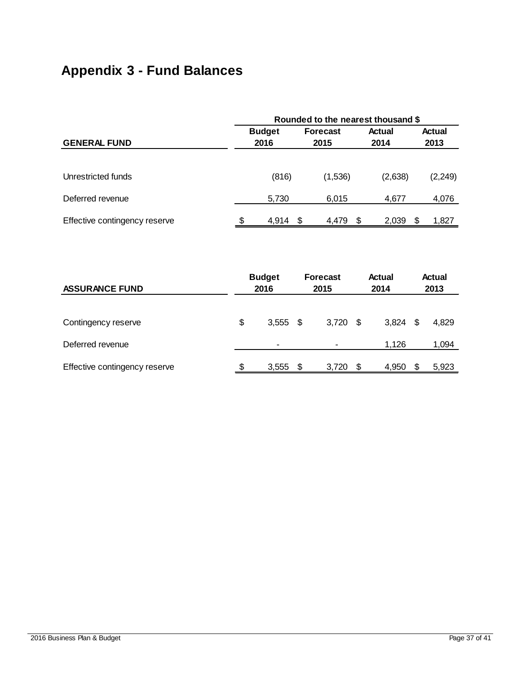## <span id="page-36-0"></span>**Appendix 3 - Fund Balances**

|                               | Rounded to the nearest thousand \$ |               |                         |     |                |    |                |  |  |  |  |
|-------------------------------|------------------------------------|---------------|-------------------------|-----|----------------|----|----------------|--|--|--|--|
| <b>GENERAL FUND</b>           | 2016                               | <b>Budget</b> | <b>Forecast</b><br>2015 |     | Actual<br>2014 |    | Actual<br>2013 |  |  |  |  |
|                               |                                    |               |                         |     |                |    |                |  |  |  |  |
| Unrestricted funds            |                                    | (816)         | (1,536)                 |     | (2,638)        |    | (2, 249)       |  |  |  |  |
| Deferred revenue              |                                    | 5,730         | 6,015                   |     | 4,677          |    | 4,076          |  |  |  |  |
| Effective contingency reserve | \$.                                | 4,914         | -S<br>4,479             | \$. | 2,039          | -S | 1,827          |  |  |  |  |

| <b>ASSURANCE FUND</b>         | <b>Budget</b><br>2016 |       |      | <b>Forecast</b><br>2015 |      | Actual<br>2014 | <b>Actual</b><br>2013 |       |  |
|-------------------------------|-----------------------|-------|------|-------------------------|------|----------------|-----------------------|-------|--|
|                               |                       |       |      |                         |      |                |                       |       |  |
| Contingency reserve           | \$                    | 3,555 | - \$ | 3,720                   | - \$ | 3,824          | - \$                  | 4,829 |  |
| Deferred revenue              |                       | ۰     |      |                         |      | 1,126          |                       | 1,094 |  |
| Effective contingency reserve | \$                    | 3,555 | S    | 3,720                   | \$   | 4,950          |                       | 5,923 |  |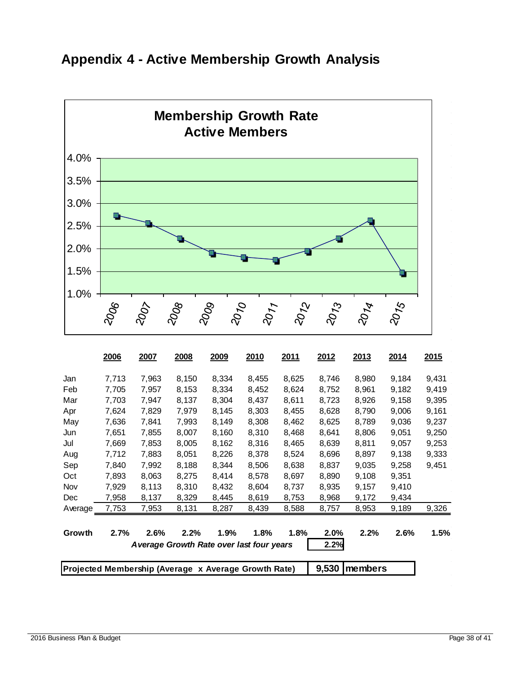<span id="page-37-0"></span>



|                                                      | 2006  | 2007  | 2008  | 2009                                      | 2010  | 2011  | 2012    | 2013  | 2014  | 2015  |
|------------------------------------------------------|-------|-------|-------|-------------------------------------------|-------|-------|---------|-------|-------|-------|
| Jan                                                  | 7,713 | 7,963 | 8,150 | 8,334                                     | 8,455 | 8,625 | 8,746   | 8,980 | 9,184 | 9,431 |
| Feb                                                  | 7,705 | 7,957 | 8,153 | 8,334                                     | 8,452 | 8,624 | 8,752   | 8,961 | 9,182 | 9,419 |
| Mar                                                  | 7,703 | 7,947 | 8,137 | 8,304                                     | 8,437 | 8,611 | 8,723   | 8,926 | 9,158 | 9,395 |
| Apr                                                  | 7,624 | 7,829 | 7,979 | 8,145                                     | 8,303 | 8,455 | 8,628   | 8,790 | 9,006 | 9,161 |
| May                                                  | 7,636 | 7,841 | 7,993 | 8,149                                     | 8,308 | 8,462 | 8,625   | 8,789 | 9,036 | 9,237 |
| Jun                                                  | 7,651 | 7,855 | 8,007 | 8,160                                     | 8,310 | 8,468 | 8,641   | 8,806 | 9,051 | 9,250 |
| Jul                                                  | 7,669 | 7,853 | 8,005 | 8,162                                     | 8,316 | 8,465 | 8,639   | 8,811 | 9,057 | 9,253 |
| Aug                                                  | 7,712 | 7,883 | 8,051 | 8,226                                     | 8,378 | 8,524 | 8,696   | 8,897 | 9,138 | 9,333 |
| Sep                                                  | 7,840 | 7,992 | 8,188 | 8,344                                     | 8,506 | 8,638 | 8,837   | 9,035 | 9,258 | 9,451 |
| Oct                                                  | 7,893 | 8,063 | 8,275 | 8,414                                     | 8,578 | 8,697 | 8,890   | 9,108 | 9,351 |       |
| Nov                                                  | 7,929 | 8,113 | 8,310 | 8,432                                     | 8,604 | 8,737 | 8,935   | 9,157 | 9,410 |       |
| Dec                                                  | 7,958 | 8,137 | 8,329 | 8,445                                     | 8,619 | 8,753 | 8,968   | 9,172 | 9,434 |       |
| Average                                              | 7,753 | 7,953 | 8,131 | 8,287                                     | 8,439 | 8,588 | 8,757   | 8,953 | 9,189 | 9,326 |
| Growth                                               | 2.7%  | 2.6%  | 2.2%  | 1.9%                                      | 1.8%  | 1.8%  | 2.0%    | 2.2%  | 2.6%  | 1.5%  |
|                                                      |       |       |       | A verage Growth Rate over last four years |       |       | 2.2%    |       |       |       |
| Projected Membership (Average x Average Growth Rate) |       |       |       |                                           |       | 9,530 | members |       |       |       |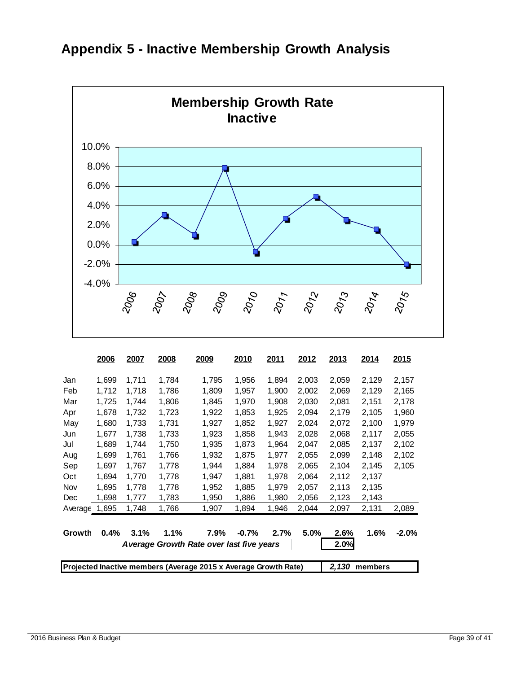

### <span id="page-38-0"></span>**Appendix 5 - Inactive Membership Growth Analysis**

|         | 2006                                                                                | 2007  | 2008  | 2009                                     | 2010    | 2011  | 2012  | 2013  | 2014  | 2015     |
|---------|-------------------------------------------------------------------------------------|-------|-------|------------------------------------------|---------|-------|-------|-------|-------|----------|
| Jan     | 1,699                                                                               | 1,711 | 1,784 | 1,795                                    | 1,956   | 1,894 | 2,003 | 2,059 | 2,129 | 2,157    |
| Feb     | 1,712                                                                               | 1,718 | 1,786 | 1,809                                    | 1,957   | 1,900 | 2,002 | 2,069 | 2,129 | 2,165    |
| Mar     | 1,725                                                                               | 1,744 | 1,806 | 1,845                                    | 1,970   | 1,908 | 2,030 | 2,081 | 2,151 | 2,178    |
| Apr     | 1,678                                                                               | 1,732 | 1,723 | 1,922                                    | 1,853   | 1,925 | 2,094 | 2,179 | 2,105 | 1,960    |
| May     | 1,680                                                                               | 1,733 | 1,731 | 1,927                                    | 1,852   | 1,927 | 2,024 | 2,072 | 2,100 | 1,979    |
| Jun     | 1,677                                                                               | 1,738 | 1,733 | 1,923                                    | 1,858   | 1,943 | 2,028 | 2,068 | 2,117 | 2,055    |
| Jul     | 1,689                                                                               | 1,744 | 1,750 | 1,935                                    | 1,873   | 1,964 | 2,047 | 2,085 | 2,137 | 2,102    |
| Aug     | 1,699                                                                               | 1,761 | 1,766 | 1,932                                    | 1,875   | 1,977 | 2,055 | 2,099 | 2,148 | 2,102    |
| Sep     | 1,697                                                                               | 1,767 | 1,778 | 1,944                                    | 1,884   | 1,978 | 2,065 | 2,104 | 2,145 | 2,105    |
| Oct     | 1,694                                                                               | 1,770 | 1,778 | 1,947                                    | 1,881   | 1,978 | 2,064 | 2,112 | 2,137 |          |
| Nov     | 1,695                                                                               | 1,778 | 1,778 | 1,952                                    | 1.885   | 1,979 | 2,057 | 2,113 | 2,135 |          |
| Dec     | 1,698                                                                               | 1,777 | 1,783 | 1,950                                    | 1,886   | 1,980 | 2,056 | 2,123 | 2,143 |          |
| Average | 1,695                                                                               | 1,748 | 1,766 | 1,907                                    | 1,894   | 1,946 | 2,044 | 2,097 | 2,131 | 2,089    |
|         |                                                                                     |       |       |                                          |         |       |       |       |       |          |
| Growth  | 0.4%                                                                                | 3.1%  | 1.1%  | 7.9%                                     | $-0.7%$ | 2.7%  | 5.0%  | 2.6%  | 1.6%  | $-2.0\%$ |
|         |                                                                                     |       |       | Average Growth Rate over last five years |         |       |       | 2.0%  |       |          |
|         | Projected Inactive members (Average 2015 x Average Growth Rate)<br>2,130<br>members |       |       |                                          |         |       |       |       |       |          |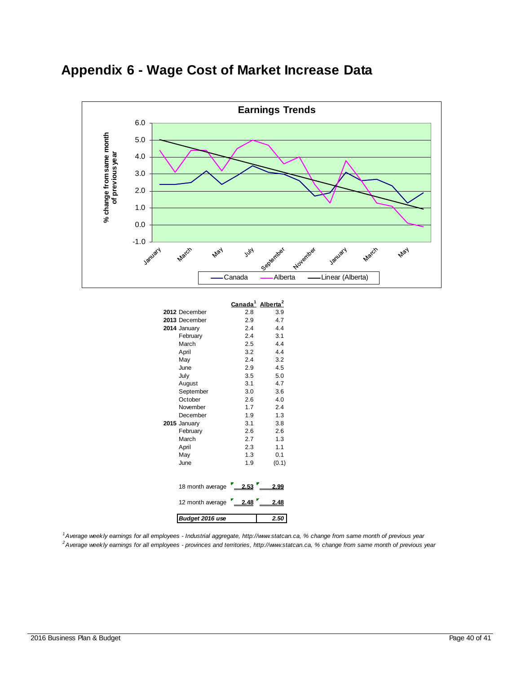<span id="page-39-0"></span>



|                  | <u>Canada<sup>1</sup></u> | Alberta <sup>2</sup> |
|------------------|---------------------------|----------------------|
| 2012 December    | 2.8                       | 3.9                  |
| 2013 December    | 2.9                       | 4.7                  |
| 2014 January     | 2.4                       | 4.4                  |
| February         | 2.4                       | 3.1                  |
| March            | 2.5                       | 4.4                  |
| April            | 3.2                       | 4.4                  |
| May              | 2.4                       | 3.2                  |
| June             | 2.9                       | 4.5                  |
| July             | 3.5                       | 5.0                  |
| August           | 3.1                       | 4.7                  |
| September        | 3.0                       | 3.6                  |
| October          | 2.6                       | 4.0                  |
| November         | 1.7                       | 2.4                  |
| December         | 1.9                       | 1.3                  |
| 2015 January     | 3.1                       | 3.8                  |
| February         | 2.6                       | 2.6                  |
| March            | 2.7                       | 1.3                  |
| April            | 2.3                       | 1.1                  |
| May              | 1.3                       | 0.1                  |
| June             | 1.9                       | (0.1)                |
|                  |                           |                      |
| 18 month average | 2.53                      | 2.99                 |
| 12 month average | 2.48                      | 2.48                 |
| Budget 2016 use  |                           | 2.50                 |

*1 Average weekly earnings for all employees - Industrial aggregate, http://www.statcan.ca, % change from same month of previous year 2 Average weekly earnings for all employees - provinces and territories, http://www.statcan.ca, % change from same month of previous year*